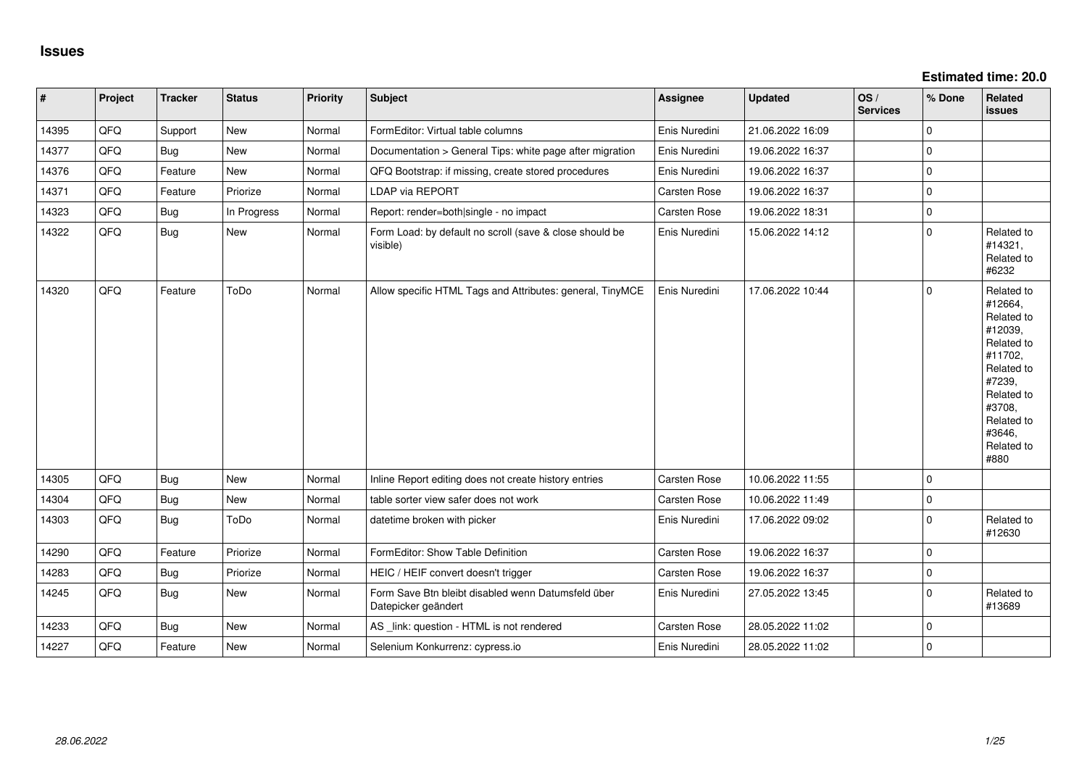| $\vert$ # | Project | <b>Tracker</b> | <b>Status</b> | <b>Priority</b> | <b>Subject</b>                                                            | Assignee            | <b>Updated</b>   | OS/<br><b>Services</b> | % Done      | Related<br><b>issues</b>                                                                                                                                              |
|-----------|---------|----------------|---------------|-----------------|---------------------------------------------------------------------------|---------------------|------------------|------------------------|-------------|-----------------------------------------------------------------------------------------------------------------------------------------------------------------------|
| 14395     | QFQ     | Support        | <b>New</b>    | Normal          | FormEditor: Virtual table columns                                         | Enis Nuredini       | 21.06.2022 16:09 |                        | $\Omega$    |                                                                                                                                                                       |
| 14377     | QFQ     | <b>Bug</b>     | <b>New</b>    | Normal          | Documentation > General Tips: white page after migration                  | Enis Nuredini       | 19.06.2022 16:37 |                        | $\Omega$    |                                                                                                                                                                       |
| 14376     | QFQ     | Feature        | New           | Normal          | QFQ Bootstrap: if missing, create stored procedures                       | Enis Nuredini       | 19.06.2022 16:37 |                        | $\Omega$    |                                                                                                                                                                       |
| 14371     | QFQ     | Feature        | Priorize      | Normal          | LDAP via REPORT                                                           | Carsten Rose        | 19.06.2022 16:37 |                        | $\mathbf 0$ |                                                                                                                                                                       |
| 14323     | QFQ     | <b>Bug</b>     | In Progress   | Normal          | Report: render=both single - no impact                                    | Carsten Rose        | 19.06.2022 18:31 |                        | $\Omega$    |                                                                                                                                                                       |
| 14322     | QFQ     | <b>Bug</b>     | New           | Normal          | Form Load: by default no scroll (save & close should be<br>visible)       | Enis Nuredini       | 15.06.2022 14:12 |                        | $\Omega$    | Related to<br>#14321,<br>Related to<br>#6232                                                                                                                          |
| 14320     | QFQ     | Feature        | ToDo          | Normal          | Allow specific HTML Tags and Attributes: general, TinyMCE                 | Enis Nuredini       | 17.06.2022 10:44 |                        | l O         | Related to<br>#12664,<br>Related to<br>#12039,<br>Related to<br>#11702,<br>Related to<br>#7239,<br>Related to<br>#3708,<br>Related to<br>#3646,<br>Related to<br>#880 |
| 14305     | QFQ     | <b>Bug</b>     | New           | Normal          | Inline Report editing does not create history entries                     | Carsten Rose        | 10.06.2022 11:55 |                        | $\mathbf 0$ |                                                                                                                                                                       |
| 14304     | QFQ     | <b>Bug</b>     | New           | Normal          | table sorter view safer does not work                                     | Carsten Rose        | 10.06.2022 11:49 |                        | $\Omega$    |                                                                                                                                                                       |
| 14303     | QFQ     | <b>Bug</b>     | ToDo          | Normal          | datetime broken with picker                                               | Enis Nuredini       | 17.06.2022 09:02 |                        | $\Omega$    | Related to<br>#12630                                                                                                                                                  |
| 14290     | QFQ     | Feature        | Priorize      | Normal          | FormEditor: Show Table Definition                                         | <b>Carsten Rose</b> | 19.06.2022 16:37 |                        | $\Omega$    |                                                                                                                                                                       |
| 14283     | QFQ     | Bug            | Priorize      | Normal          | HEIC / HEIF convert doesn't trigger                                       | Carsten Rose        | 19.06.2022 16:37 |                        | $\mathbf 0$ |                                                                                                                                                                       |
| 14245     | QFQ     | Bug            | New           | Normal          | Form Save Btn bleibt disabled wenn Datumsfeld über<br>Datepicker geändert | Enis Nuredini       | 27.05.2022 13:45 |                        | $\Omega$    | Related to<br>#13689                                                                                                                                                  |
| 14233     | QFQ     | Bug            | <b>New</b>    | Normal          | AS link: question - HTML is not rendered                                  | Carsten Rose        | 28.05.2022 11:02 |                        | $\Omega$    |                                                                                                                                                                       |
| 14227     | QFQ     | Feature        | <b>New</b>    | Normal          | Selenium Konkurrenz: cypress.io                                           | Enis Nuredini       | 28.05.2022 11:02 |                        | l 0         |                                                                                                                                                                       |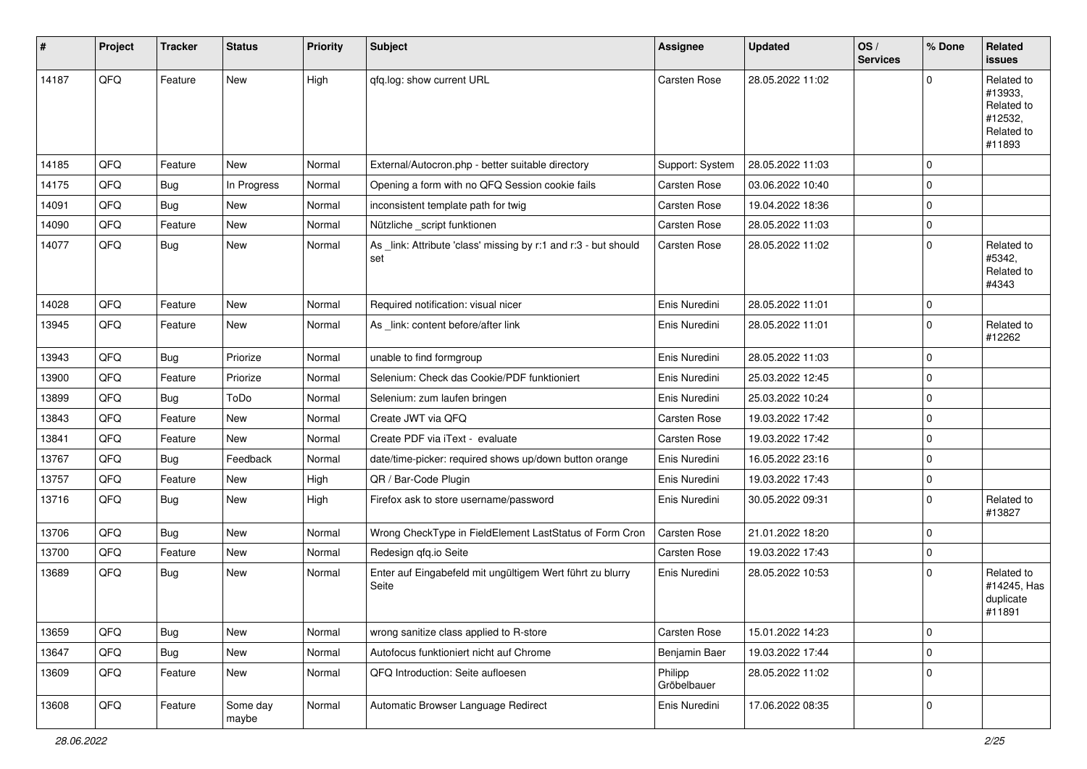| $\vert$ # | Project | <b>Tracker</b> | <b>Status</b>     | <b>Priority</b> | <b>Subject</b>                                                         | <b>Assignee</b>        | <b>Updated</b>   | OS/<br><b>Services</b> | % Done         | Related<br><b>issues</b>                                               |
|-----------|---------|----------------|-------------------|-----------------|------------------------------------------------------------------------|------------------------|------------------|------------------------|----------------|------------------------------------------------------------------------|
| 14187     | QFQ     | Feature        | New               | High            | gfg.log: show current URL                                              | Carsten Rose           | 28.05.2022 11:02 |                        | $\Omega$       | Related to<br>#13933,<br>Related to<br>#12532,<br>Related to<br>#11893 |
| 14185     | QFQ     | Feature        | New               | Normal          | External/Autocron.php - better suitable directory                      | Support: System        | 28.05.2022 11:03 |                        | 0              |                                                                        |
| 14175     | QFQ     | Bug            | In Progress       | Normal          | Opening a form with no QFQ Session cookie fails                        | Carsten Rose           | 03.06.2022 10:40 |                        | $\mathbf 0$    |                                                                        |
| 14091     | QFQ     | <b>Bug</b>     | New               | Normal          | inconsistent template path for twig                                    | Carsten Rose           | 19.04.2022 18:36 |                        | 0              |                                                                        |
| 14090     | QFQ     | Feature        | New               | Normal          | Nützliche _script funktionen                                           | Carsten Rose           | 28.05.2022 11:03 |                        | $\mathbf 0$    |                                                                        |
| 14077     | QFQ     | <b>Bug</b>     | New               | Normal          | As _link: Attribute 'class' missing by r:1 and r:3 - but should<br>set | Carsten Rose           | 28.05.2022 11:02 |                        | $\mathbf 0$    | Related to<br>#5342,<br>Related to<br>#4343                            |
| 14028     | QFQ     | Feature        | <b>New</b>        | Normal          | Required notification: visual nicer                                    | Enis Nuredini          | 28.05.2022 11:01 |                        | 0              |                                                                        |
| 13945     | QFQ     | Feature        | New               | Normal          | As _link: content before/after link                                    | Enis Nuredini          | 28.05.2022 11:01 |                        | $\mathbf 0$    | Related to<br>#12262                                                   |
| 13943     | QFQ     | Bug            | Priorize          | Normal          | unable to find formgroup                                               | Enis Nuredini          | 28.05.2022 11:03 |                        | $\mathbf 0$    |                                                                        |
| 13900     | QFQ     | Feature        | Priorize          | Normal          | Selenium: Check das Cookie/PDF funktioniert                            | Enis Nuredini          | 25.03.2022 12:45 |                        | $\mathbf 0$    |                                                                        |
| 13899     | QFQ     | <b>Bug</b>     | ToDo              | Normal          | Selenium: zum laufen bringen                                           | Enis Nuredini          | 25.03.2022 10:24 |                        | 0              |                                                                        |
| 13843     | QFQ     | Feature        | New               | Normal          | Create JWT via QFQ                                                     | Carsten Rose           | 19.03.2022 17:42 |                        | 0              |                                                                        |
| 13841     | QFQ     | Feature        | New               | Normal          | Create PDF via iText - evaluate                                        | Carsten Rose           | 19.03.2022 17:42 |                        | $\mathbf 0$    |                                                                        |
| 13767     | QFQ     | Bug            | Feedback          | Normal          | date/time-picker: required shows up/down button orange                 | Enis Nuredini          | 16.05.2022 23:16 |                        | $\mathbf 0$    |                                                                        |
| 13757     | QFQ     | Feature        | New               | High            | QR / Bar-Code Plugin                                                   | Enis Nuredini          | 19.03.2022 17:43 |                        | 0              |                                                                        |
| 13716     | QFQ     | <b>Bug</b>     | New               | High            | Firefox ask to store username/password                                 | Enis Nuredini          | 30.05.2022 09:31 |                        | 0              | Related to<br>#13827                                                   |
| 13706     | QFQ     | Bug            | New               | Normal          | Wrong CheckType in FieldElement LastStatus of Form Cron                | Carsten Rose           | 21.01.2022 18:20 |                        | $\mathbf 0$    |                                                                        |
| 13700     | QFQ     | Feature        | New               | Normal          | Redesign qfq.io Seite                                                  | Carsten Rose           | 19.03.2022 17:43 |                        | 0              |                                                                        |
| 13689     | QFQ     | <b>Bug</b>     | New               | Normal          | Enter auf Eingabefeld mit ungültigem Wert führt zu blurry<br>Seite     | Enis Nuredini          | 28.05.2022 10:53 |                        | $\mathbf 0$    | Related to<br>#14245, Has<br>duplicate<br>#11891                       |
| 13659     | QFQ     | <b>Bug</b>     | New               | Normal          | wrong sanitize class applied to R-store                                | Carsten Rose           | 15.01.2022 14:23 |                        | 0              |                                                                        |
| 13647     | QFQ     | <b>Bug</b>     | New               | Normal          | Autofocus funktioniert nicht auf Chrome                                | Benjamin Baer          | 19.03.2022 17:44 |                        | $\overline{0}$ |                                                                        |
| 13609     | QFQ     | Feature        | New               | Normal          | QFQ Introduction: Seite aufloesen                                      | Philipp<br>Gröbelbauer | 28.05.2022 11:02 |                        | $\mathbf 0$    |                                                                        |
| 13608     | QFQ     | Feature        | Some day<br>maybe | Normal          | Automatic Browser Language Redirect                                    | Enis Nuredini          | 17.06.2022 08:35 |                        | 0              |                                                                        |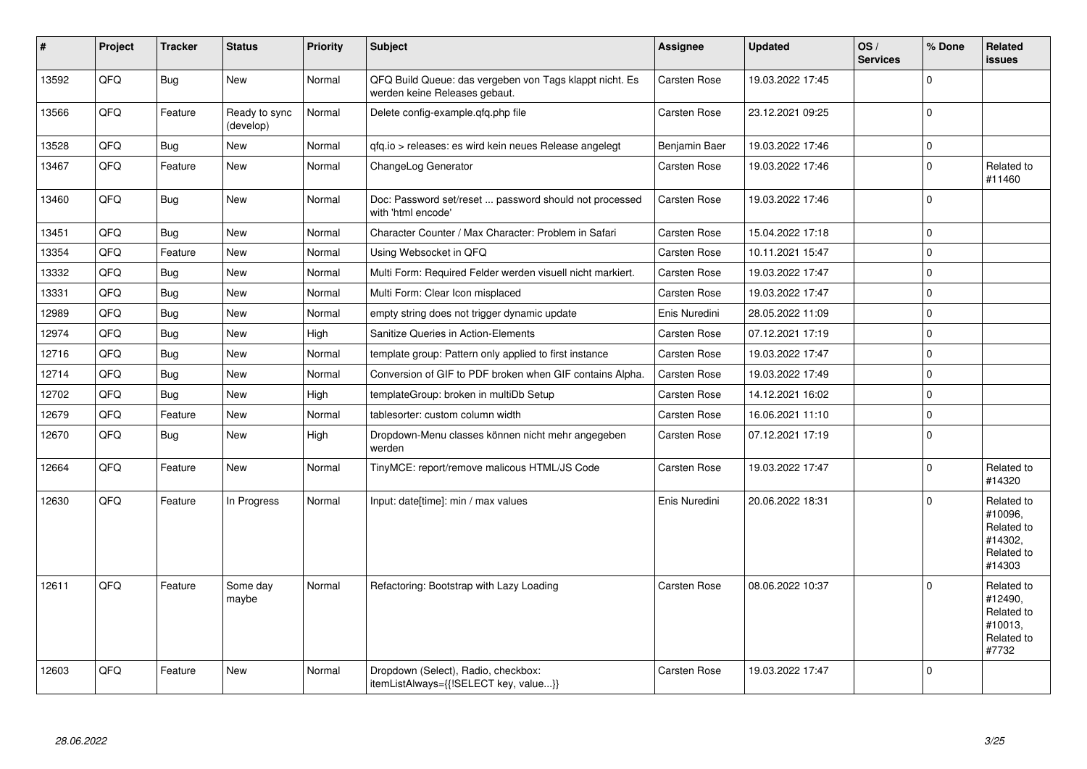| $\vert$ # | Project | <b>Tracker</b> | <b>Status</b>              | <b>Priority</b> | <b>Subject</b>                                                                           | Assignee            | <b>Updated</b>   | OS/<br><b>Services</b> | % Done         | Related<br><b>issues</b>                                               |
|-----------|---------|----------------|----------------------------|-----------------|------------------------------------------------------------------------------------------|---------------------|------------------|------------------------|----------------|------------------------------------------------------------------------|
| 13592     | QFQ     | <b>Bug</b>     | <b>New</b>                 | Normal          | QFQ Build Queue: das vergeben von Tags klappt nicht. Es<br>werden keine Releases gebaut. | Carsten Rose        | 19.03.2022 17:45 |                        | $\Omega$       |                                                                        |
| 13566     | QFQ     | Feature        | Ready to sync<br>(develop) | Normal          | Delete config-example.gfg.php file                                                       | Carsten Rose        | 23.12.2021 09:25 |                        | 0              |                                                                        |
| 13528     | QFQ     | Bug            | <b>New</b>                 | Normal          | gfg.io > releases: es wird kein neues Release angelegt                                   | Benjamin Baer       | 19.03.2022 17:46 |                        | $\mathbf 0$    |                                                                        |
| 13467     | QFQ     | Feature        | <b>New</b>                 | Normal          | ChangeLog Generator                                                                      | Carsten Rose        | 19.03.2022 17:46 |                        | l 0            | Related to<br>#11460                                                   |
| 13460     | QFQ     | Bug            | <b>New</b>                 | Normal          | Doc: Password set/reset  password should not processed<br>with 'html encode'             | <b>Carsten Rose</b> | 19.03.2022 17:46 |                        | $\overline{0}$ |                                                                        |
| 13451     | QFQ     | <b>Bug</b>     | <b>New</b>                 | Normal          | Character Counter / Max Character: Problem in Safari                                     | Carsten Rose        | 15.04.2022 17:18 |                        | $\overline{0}$ |                                                                        |
| 13354     | QFQ     | Feature        | <b>New</b>                 | Normal          | Using Websocket in QFQ                                                                   | <b>Carsten Rose</b> | 10.11.2021 15:47 |                        | $\Omega$       |                                                                        |
| 13332     | QFQ     | <b>Bug</b>     | <b>New</b>                 | Normal          | Multi Form: Required Felder werden visuell nicht markiert.                               | Carsten Rose        | 19.03.2022 17:47 |                        | $\Omega$       |                                                                        |
| 13331     | QFQ     | <b>Bug</b>     | <b>New</b>                 | Normal          | Multi Form: Clear Icon misplaced                                                         | Carsten Rose        | 19.03.2022 17:47 |                        | $\overline{0}$ |                                                                        |
| 12989     | QFQ     | <b>Bug</b>     | <b>New</b>                 | Normal          | empty string does not trigger dynamic update                                             | Enis Nuredini       | 28.05.2022 11:09 |                        | $\Omega$       |                                                                        |
| 12974     | QFQ     | Bug            | <b>New</b>                 | High            | Sanitize Queries in Action-Elements                                                      | <b>Carsten Rose</b> | 07.12.2021 17:19 |                        | $\overline{0}$ |                                                                        |
| 12716     | QFQ     | Bug            | New                        | Normal          | template group: Pattern only applied to first instance                                   | Carsten Rose        | 19.03.2022 17:47 |                        | $\Omega$       |                                                                        |
| 12714     | QFQ     | <b>Bug</b>     | New                        | Normal          | Conversion of GIF to PDF broken when GIF contains Alpha.                                 | <b>Carsten Rose</b> | 19.03.2022 17:49 |                        | $\Omega$       |                                                                        |
| 12702     | QFQ     | <b>Bug</b>     | <b>New</b>                 | High            | templateGroup: broken in multiDb Setup                                                   | Carsten Rose        | 14.12.2021 16:02 |                        | $\overline{0}$ |                                                                        |
| 12679     | QFQ     | Feature        | <b>New</b>                 | Normal          | tablesorter: custom column width                                                         | Carsten Rose        | 16.06.2021 11:10 |                        | $\Omega$       |                                                                        |
| 12670     | QFQ     | Bug            | <b>New</b>                 | High            | Dropdown-Menu classes können nicht mehr angegeben<br>werden                              | Carsten Rose        | 07.12.2021 17:19 |                        | $\overline{0}$ |                                                                        |
| 12664     | QFQ     | Feature        | <b>New</b>                 | Normal          | TinyMCE: report/remove malicous HTML/JS Code                                             | Carsten Rose        | 19.03.2022 17:47 |                        | $\Omega$       | Related to<br>#14320                                                   |
| 12630     | QFQ     | Feature        | In Progress                | Normal          | Input: date[time]: min / max values                                                      | Enis Nuredini       | 20.06.2022 18:31 |                        | $\Omega$       | Related to<br>#10096,<br>Related to<br>#14302.<br>Related to<br>#14303 |
| 12611     | QFQ     | Feature        | Some day<br>maybe          | Normal          | Refactoring: Bootstrap with Lazy Loading                                                 | <b>Carsten Rose</b> | 08.06.2022 10:37 |                        | $\Omega$       | Related to<br>#12490,<br>Related to<br>#10013,<br>Related to<br>#7732  |
| 12603     | QFQ     | Feature        | New                        | Normal          | Dropdown (Select), Radio, checkbox:<br>itemListAlways={{!SELECT key, value}}             | Carsten Rose        | 19.03.2022 17:47 |                        | $\Omega$       |                                                                        |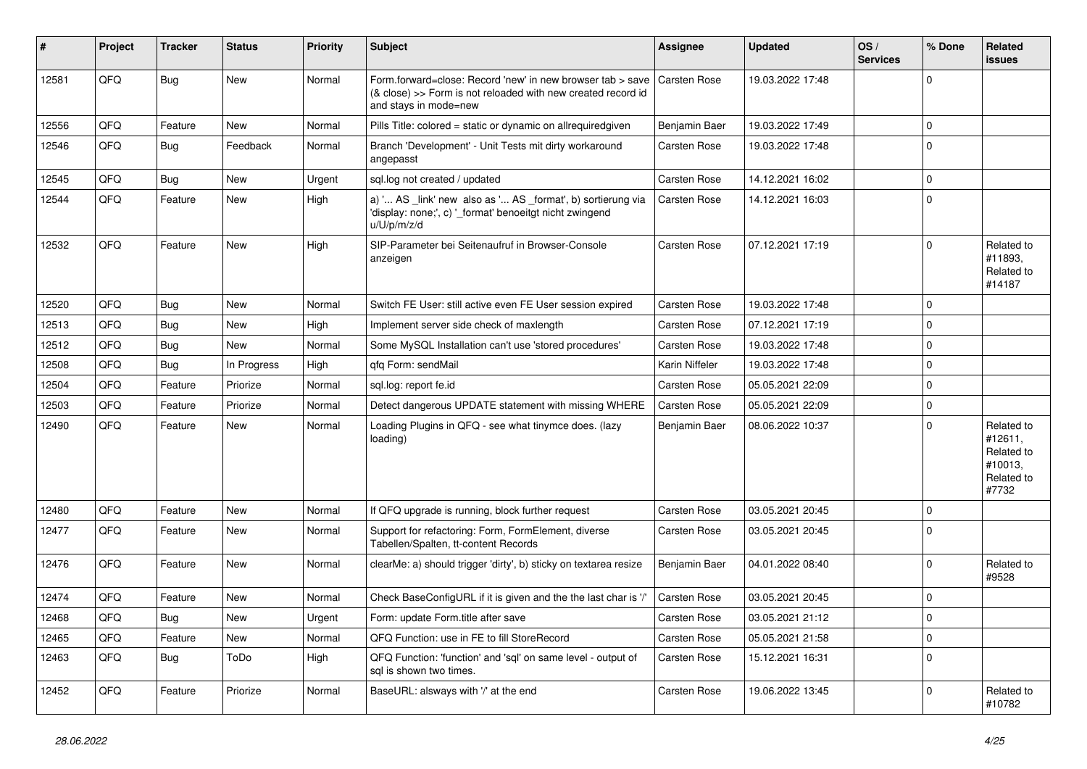| #     | Project | <b>Tracker</b> | <b>Status</b> | <b>Priority</b> | <b>Subject</b>                                                                                                                                      | Assignee            | <b>Updated</b>   | OS/<br><b>Services</b> | % Done         | Related<br><b>issues</b>                                              |
|-------|---------|----------------|---------------|-----------------|-----------------------------------------------------------------------------------------------------------------------------------------------------|---------------------|------------------|------------------------|----------------|-----------------------------------------------------------------------|
| 12581 | QFQ     | Bug            | <b>New</b>    | Normal          | Form.forward=close: Record 'new' in new browser tab > save<br>(& close) >> Form is not reloaded with new created record id<br>and stays in mode=new | <b>Carsten Rose</b> | 19.03.2022 17:48 |                        | $\overline{0}$ |                                                                       |
| 12556 | QFQ     | Feature        | <b>New</b>    | Normal          | Pills Title: colored = static or dynamic on allrequiredgiven                                                                                        | Benjamin Baer       | 19.03.2022 17:49 |                        | $\Omega$       |                                                                       |
| 12546 | QFQ     | <b>Bug</b>     | Feedback      | Normal          | Branch 'Development' - Unit Tests mit dirty workaround<br>angepasst                                                                                 | Carsten Rose        | 19.03.2022 17:48 |                        | l O            |                                                                       |
| 12545 | QFQ     | Bug            | <b>New</b>    | Urgent          | sql.log not created / updated                                                                                                                       | Carsten Rose        | 14.12.2021 16:02 |                        | 0 l            |                                                                       |
| 12544 | QFQ     | Feature        | <b>New</b>    | High            | a) ' AS _link' new also as ' AS _format', b) sortierung via<br>'display: none;', c) '_format' benoeitgt nicht zwingend<br>u/U/p/m/z/d               | Carsten Rose        | 14.12.2021 16:03 |                        | 0 l            |                                                                       |
| 12532 | QFQ     | Feature        | <b>New</b>    | High            | SIP-Parameter bei Seitenaufruf in Browser-Console<br>anzeigen                                                                                       | Carsten Rose        | 07.12.2021 17:19 |                        | $\Omega$       | Related to<br>#11893,<br>Related to<br>#14187                         |
| 12520 | QFQ     | Bug            | New           | Normal          | Switch FE User: still active even FE User session expired                                                                                           | Carsten Rose        | 19.03.2022 17:48 |                        | $\overline{0}$ |                                                                       |
| 12513 | QFQ     | Bug            | <b>New</b>    | High            | Implement server side check of maxlength                                                                                                            | <b>Carsten Rose</b> | 07.12.2021 17:19 |                        | 0              |                                                                       |
| 12512 | QFQ     | Bug            | New           | Normal          | Some MySQL Installation can't use 'stored procedures'                                                                                               | Carsten Rose        | 19.03.2022 17:48 |                        | $\mathbf 0$    |                                                                       |
| 12508 | QFQ     | Bug            | In Progress   | High            | qfq Form: sendMail                                                                                                                                  | Karin Niffeler      | 19.03.2022 17:48 |                        | $\mathbf 0$    |                                                                       |
| 12504 | QFQ     | Feature        | Priorize      | Normal          | sql.log: report fe.id                                                                                                                               | <b>Carsten Rose</b> | 05.05.2021 22:09 |                        | $\mathbf 0$    |                                                                       |
| 12503 | QFQ     | Feature        | Priorize      | Normal          | Detect dangerous UPDATE statement with missing WHERE                                                                                                | Carsten Rose        | 05.05.2021 22:09 |                        | $\mathbf 0$    |                                                                       |
| 12490 | QFQ     | Feature        | <b>New</b>    | Normal          | Loading Plugins in QFQ - see what tinymce does. (lazy<br>loading)                                                                                   | Benjamin Baer       | 08.06.2022 10:37 |                        | $\Omega$       | Related to<br>#12611,<br>Related to<br>#10013,<br>Related to<br>#7732 |
| 12480 | OFQ     | Feature        | <b>New</b>    | Normal          | If QFQ upgrade is running, block further request                                                                                                    | Carsten Rose        | 03.05.2021 20:45 |                        | $\overline{0}$ |                                                                       |
| 12477 | QFQ     | Feature        | <b>New</b>    | Normal          | Support for refactoring: Form, FormElement, diverse<br>Tabellen/Spalten, tt-content Records                                                         | Carsten Rose        | 03.05.2021 20:45 |                        | 0              |                                                                       |
| 12476 | QFQ     | Feature        | <b>New</b>    | Normal          | clearMe: a) should trigger 'dirty', b) sticky on textarea resize                                                                                    | Benjamin Baer       | 04.01.2022 08:40 |                        | $\Omega$       | Related to<br>#9528                                                   |
| 12474 | QFQ     | Feature        | <b>New</b>    | Normal          | Check BaseConfigURL if it is given and the the last char is '/'                                                                                     | Carsten Rose        | 03.05.2021 20:45 |                        | $\Omega$       |                                                                       |
| 12468 | QFQ     | Bug            | New           | Urgent          | Form: update Form.title after save                                                                                                                  | Carsten Rose        | 03.05.2021 21:12 |                        | $\Omega$       |                                                                       |
| 12465 | QFQ     | Feature        | <b>New</b>    | Normal          | QFQ Function: use in FE to fill StoreRecord                                                                                                         | Carsten Rose        | 05.05.2021 21:58 |                        | $\mathbf 0$    |                                                                       |
| 12463 | QFQ     | <b>Bug</b>     | ToDo          | High            | QFQ Function: 'function' and 'sql' on same level - output of<br>sal is shown two times.                                                             | <b>Carsten Rose</b> | 15.12.2021 16:31 |                        | 0              |                                                                       |
| 12452 | QFQ     | Feature        | Priorize      | Normal          | BaseURL: alsways with '/' at the end                                                                                                                | <b>Carsten Rose</b> | 19.06.2022 13:45 |                        | $\Omega$       | Related to<br>#10782                                                  |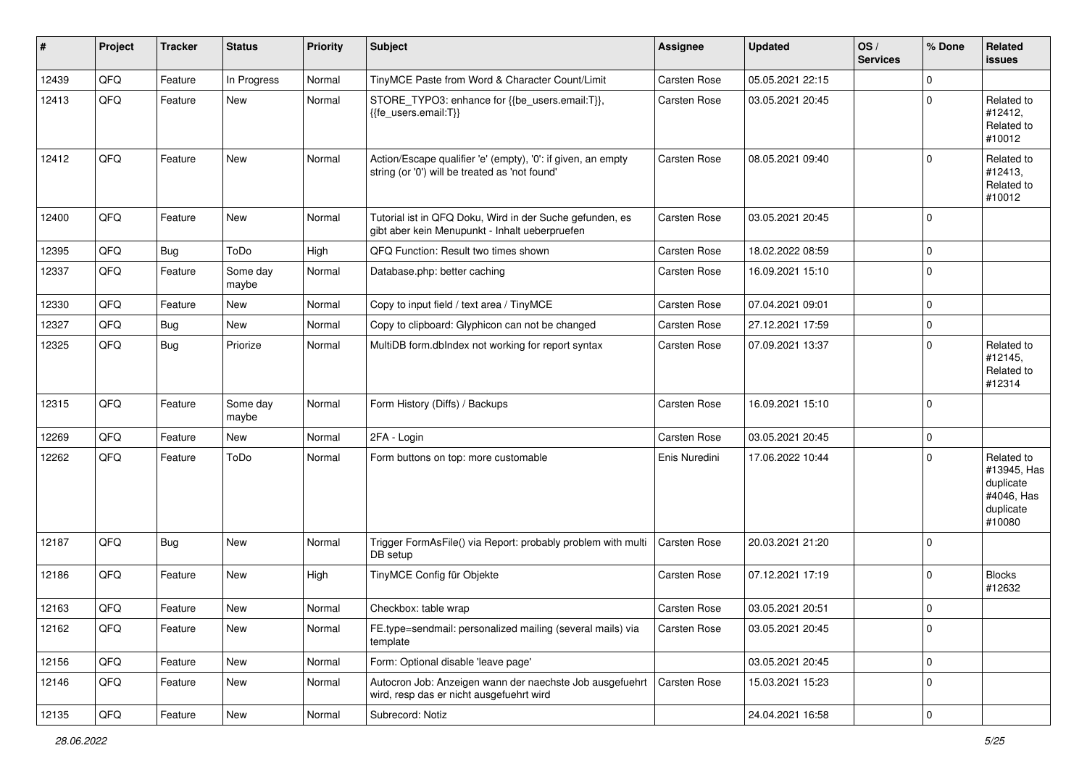| #     | Project | <b>Tracker</b> | <b>Status</b>     | <b>Priority</b> | <b>Subject</b>                                                                                                 | Assignee      | <b>Updated</b>   | OS/<br><b>Services</b> | % Done      | Related<br><b>issues</b>                                                    |
|-------|---------|----------------|-------------------|-----------------|----------------------------------------------------------------------------------------------------------------|---------------|------------------|------------------------|-------------|-----------------------------------------------------------------------------|
| 12439 | QFQ     | Feature        | In Progress       | Normal          | TinyMCE Paste from Word & Character Count/Limit                                                                | Carsten Rose  | 05.05.2021 22:15 |                        | $\mathbf 0$ |                                                                             |
| 12413 | QFQ     | Feature        | New               | Normal          | STORE_TYPO3: enhance for {{be_users.email:T}},<br>{{fe users.email:T}}                                         | Carsten Rose  | 03.05.2021 20:45 |                        | $\mathbf 0$ | Related to<br>#12412,<br>Related to<br>#10012                               |
| 12412 | QFQ     | Feature        | New               | Normal          | Action/Escape qualifier 'e' (empty), '0': if given, an empty<br>string (or '0') will be treated as 'not found' | Carsten Rose  | 08.05.2021 09:40 |                        | $\mathbf 0$ | Related to<br>#12413,<br>Related to<br>#10012                               |
| 12400 | QFQ     | Feature        | New               | Normal          | Tutorial ist in QFQ Doku, Wird in der Suche gefunden, es<br>gibt aber kein Menupunkt - Inhalt ueberpruefen     | Carsten Rose  | 03.05.2021 20:45 |                        | $\mathbf 0$ |                                                                             |
| 12395 | QFQ     | Bug            | ToDo              | High            | QFQ Function: Result two times shown                                                                           | Carsten Rose  | 18.02.2022 08:59 |                        | $\pmb{0}$   |                                                                             |
| 12337 | QFQ     | Feature        | Some day<br>maybe | Normal          | Database.php: better caching                                                                                   | Carsten Rose  | 16.09.2021 15:10 |                        | $\pmb{0}$   |                                                                             |
| 12330 | QFQ     | Feature        | <b>New</b>        | Normal          | Copy to input field / text area / TinyMCE                                                                      | Carsten Rose  | 07.04.2021 09:01 |                        | $\pmb{0}$   |                                                                             |
| 12327 | QFQ     | <b>Bug</b>     | New               | Normal          | Copy to clipboard: Glyphicon can not be changed                                                                | Carsten Rose  | 27.12.2021 17:59 |                        | $\mathbf 0$ |                                                                             |
| 12325 | QFQ     | Bug            | Priorize          | Normal          | MultiDB form.dblndex not working for report syntax                                                             | Carsten Rose  | 07.09.2021 13:37 |                        | $\mathbf 0$ | Related to<br>#12145,<br>Related to<br>#12314                               |
| 12315 | QFQ     | Feature        | Some day<br>maybe | Normal          | Form History (Diffs) / Backups                                                                                 | Carsten Rose  | 16.09.2021 15:10 |                        | $\mathbf 0$ |                                                                             |
| 12269 | QFQ     | Feature        | <b>New</b>        | Normal          | 2FA - Login                                                                                                    | Carsten Rose  | 03.05.2021 20:45 |                        | $\pmb{0}$   |                                                                             |
| 12262 | QFQ     | Feature        | ToDo              | Normal          | Form buttons on top: more customable                                                                           | Enis Nuredini | 17.06.2022 10:44 |                        | $\mathbf 0$ | Related to<br>#13945, Has<br>duplicate<br>#4046, Has<br>duplicate<br>#10080 |
| 12187 | QFQ     | Bug            | New               | Normal          | Trigger FormAsFile() via Report: probably problem with multi<br>DB setup                                       | Carsten Rose  | 20.03.2021 21:20 |                        | $\mathbf 0$ |                                                                             |
| 12186 | QFQ     | Feature        | <b>New</b>        | High            | TinyMCE Config für Objekte                                                                                     | Carsten Rose  | 07.12.2021 17:19 |                        | $\mathbf 0$ | <b>Blocks</b><br>#12632                                                     |
| 12163 | QFQ     | Feature        | New               | Normal          | Checkbox: table wrap                                                                                           | Carsten Rose  | 03.05.2021 20:51 |                        | $\mathbf 0$ |                                                                             |
| 12162 | QFQ     | Feature        | New               | Normal          | FE.type=sendmail: personalized mailing (several mails) via<br>template                                         | Carsten Rose  | 03.05.2021 20:45 |                        | $\mathbf 0$ |                                                                             |
| 12156 | QFQ     | Feature        | New               | Normal          | Form: Optional disable 'leave page'                                                                            |               | 03.05.2021 20:45 |                        | $\pmb{0}$   |                                                                             |
| 12146 | QFQ     | Feature        | New               | Normal          | Autocron Job: Anzeigen wann der naechste Job ausgefuehrt<br>wird, resp das er nicht ausgefuehrt wird           | Carsten Rose  | 15.03.2021 15:23 |                        | $\mathbf 0$ |                                                                             |
| 12135 | QFQ     | Feature        | New               | Normal          | Subrecord: Notiz                                                                                               |               | 24.04.2021 16:58 |                        | $\mathsf 0$ |                                                                             |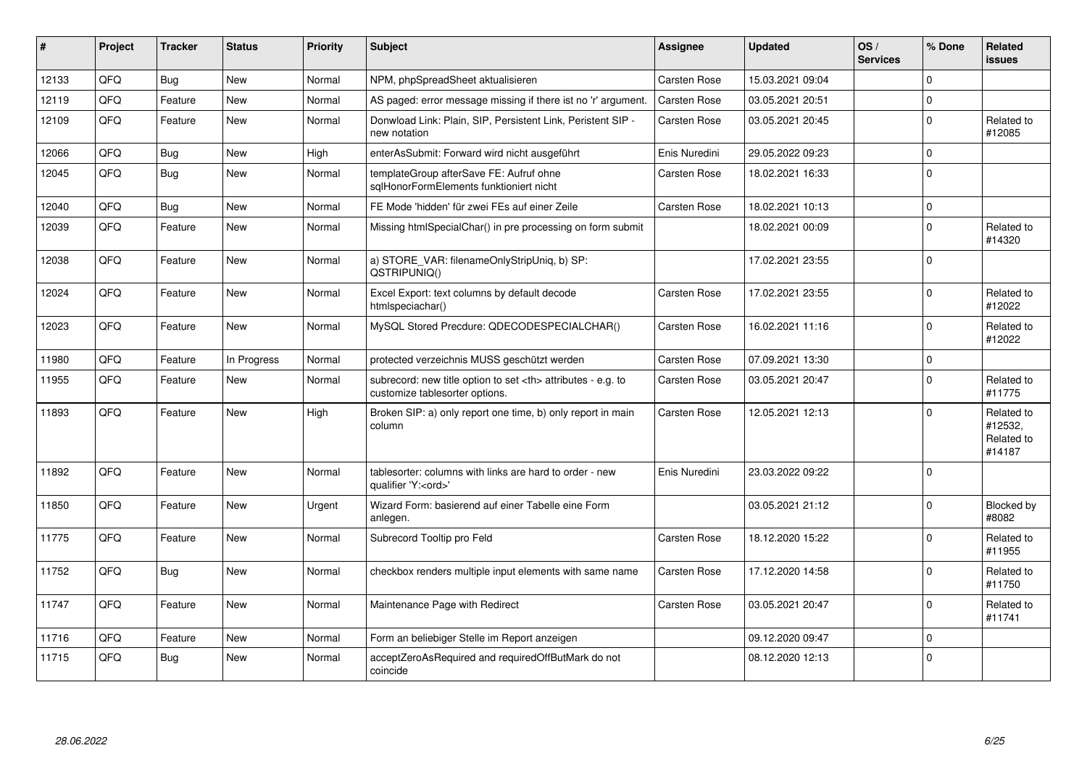| #     | Project | <b>Tracker</b> | <b>Status</b> | Priority | <b>Subject</b>                                                                                       | <b>Assignee</b>                                        | <b>Updated</b>   | OS/<br><b>Services</b> | % Done      | Related<br><b>issues</b>                      |                      |
|-------|---------|----------------|---------------|----------|------------------------------------------------------------------------------------------------------|--------------------------------------------------------|------------------|------------------------|-------------|-----------------------------------------------|----------------------|
| 12133 | QFQ     | <b>Bug</b>     | <b>New</b>    | Normal   | NPM, phpSpreadSheet aktualisieren                                                                    | Carsten Rose                                           | 15.03.2021 09:04 |                        | $\Omega$    |                                               |                      |
| 12119 | QFQ     | Feature        | <b>New</b>    | Normal   | AS paged: error message missing if there ist no 'r' argument.                                        | <b>Carsten Rose</b>                                    | 03.05.2021 20:51 |                        | $\mathbf 0$ |                                               |                      |
| 12109 | QFQ     | Feature        | <b>New</b>    | Normal   | Donwload Link: Plain, SIP, Persistent Link, Peristent SIP -<br>new notation                          | Carsten Rose                                           | 03.05.2021 20:45 |                        | $\Omega$    | Related to<br>#12085                          |                      |
| 12066 | QFQ     | <b>Bug</b>     | <b>New</b>    | High     | enterAsSubmit: Forward wird nicht ausgeführt                                                         | Enis Nuredini                                          | 29.05.2022 09:23 |                        | $\mathbf 0$ |                                               |                      |
| 12045 | QFQ     | Bug            | New           | Normal   | templateGroup afterSave FE: Aufruf ohne<br>sglHonorFormElements funktioniert nicht                   | Carsten Rose                                           | 18.02.2021 16:33 |                        | $\mathbf 0$ |                                               |                      |
| 12040 | QFQ     | Bug            | <b>New</b>    | Normal   | FE Mode 'hidden' für zwei FEs auf einer Zeile                                                        | Carsten Rose                                           | 18.02.2021 10:13 |                        | $\mathbf 0$ |                                               |                      |
| 12039 | QFQ     | Feature        | New           | Normal   | Missing htmlSpecialChar() in pre processing on form submit                                           |                                                        | 18.02.2021 00:09 |                        | $\mathbf 0$ | Related to<br>#14320                          |                      |
| 12038 | QFQ     | Feature        | New           | Normal   | a) STORE_VAR: filenameOnlyStripUniq, b) SP:<br>QSTRIPUNIQ()                                          |                                                        | 17.02.2021 23:55 |                        | $\Omega$    |                                               |                      |
| 12024 | QFQ     | Feature        | <b>New</b>    | Normal   | Excel Export: text columns by default decode<br>htmlspeciachar()                                     | Carsten Rose                                           | 17.02.2021 23:55 |                        | $\mathbf 0$ | Related to<br>#12022                          |                      |
| 12023 | QFQ     | Feature        | <b>New</b>    | Normal   | MySQL Stored Precdure: QDECODESPECIALCHAR()                                                          | Carsten Rose                                           | 16.02.2021 11:16 |                        | $\mathbf 0$ | Related to<br>#12022                          |                      |
| 11980 | QFQ     | Feature        | In Progress   | Normal   | protected verzeichnis MUSS geschützt werden                                                          | Carsten Rose                                           | 07.09.2021 13:30 |                        | $\mathbf 0$ |                                               |                      |
| 11955 | QFQ     | Feature        | <b>New</b>    | Normal   | subrecord: new title option to set <th> attributes - e.g. to<br/>customize tablesorter options.</th> | attributes - e.g. to<br>customize tablesorter options. | Carsten Rose     | 03.05.2021 20:47       |             | $\Omega$                                      | Related to<br>#11775 |
| 11893 | QFQ     | Feature        | New           | High     | Broken SIP: a) only report one time, b) only report in main<br>column                                | Carsten Rose                                           | 12.05.2021 12:13 |                        | $\Omega$    | Related to<br>#12532,<br>Related to<br>#14187 |                      |
| 11892 | QFQ     | Feature        | New           | Normal   | tablesorter: columns with links are hard to order - new<br>qualifier 'Y: <ord>'</ord>                | Enis Nuredini                                          | 23.03.2022 09:22 |                        | $\Omega$    |                                               |                      |
| 11850 | QFQ     | Feature        | <b>New</b>    | Urgent   | Wizard Form: basierend auf einer Tabelle eine Form<br>anlegen.                                       |                                                        | 03.05.2021 21:12 |                        | $\mathbf 0$ | Blocked by<br>#8082                           |                      |
| 11775 | QFQ     | Feature        | New           | Normal   | Subrecord Tooltip pro Feld                                                                           | Carsten Rose                                           | 18.12.2020 15:22 |                        | $\Omega$    | Related to<br>#11955                          |                      |
| 11752 | QFQ     | Bug            | <b>New</b>    | Normal   | checkbox renders multiple input elements with same name                                              | Carsten Rose                                           | 17.12.2020 14:58 |                        | $\Omega$    | Related to<br>#11750                          |                      |
| 11747 | QFQ     | Feature        | <b>New</b>    | Normal   | Maintenance Page with Redirect                                                                       | Carsten Rose                                           | 03.05.2021 20:47 |                        | $\Omega$    | Related to<br>#11741                          |                      |
| 11716 | QFQ     | Feature        | New           | Normal   | Form an beliebiger Stelle im Report anzeigen                                                         |                                                        | 09.12.2020 09:47 |                        | $\Omega$    |                                               |                      |
| 11715 | QFQ     | Bug            | <b>New</b>    | Normal   | acceptZeroAsRequired and requiredOffButMark do not<br>coincide                                       |                                                        | 08.12.2020 12:13 |                        | $\mathbf 0$ |                                               |                      |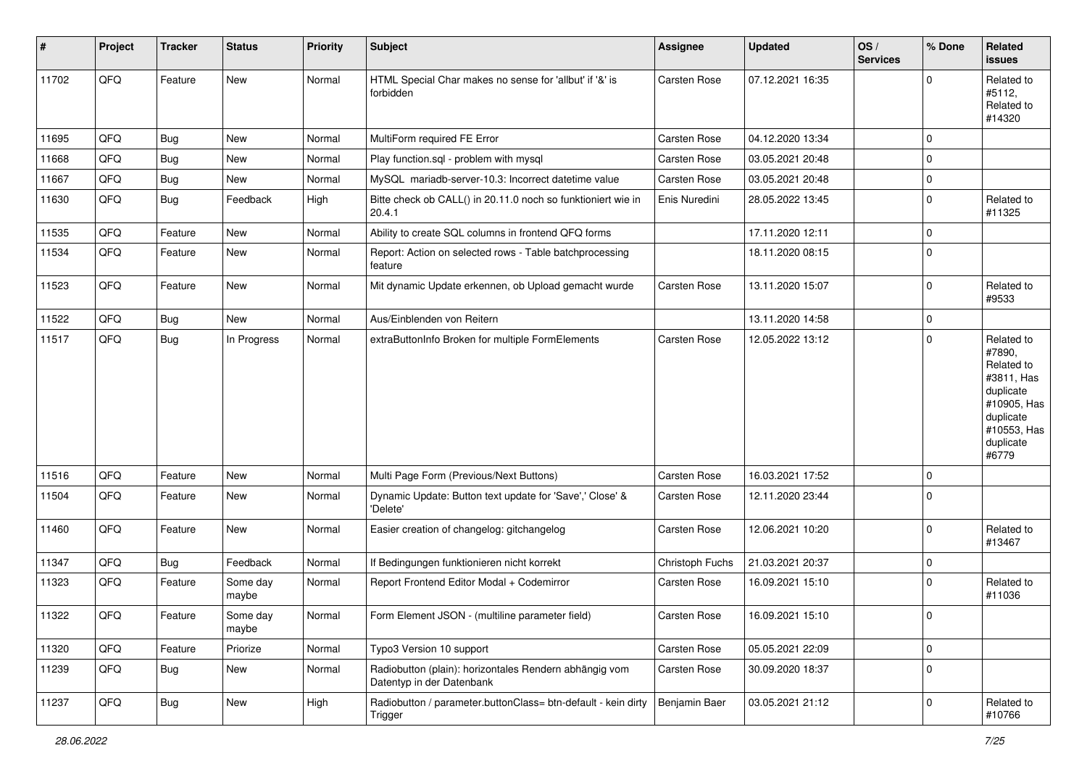| #     | Project | <b>Tracker</b> | <b>Status</b>     | <b>Priority</b> | <b>Subject</b>                                                                      | <b>Assignee</b>     | <b>Updated</b>   | OS/<br><b>Services</b> | % Done      | Related<br>issues                                                                                                              |
|-------|---------|----------------|-------------------|-----------------|-------------------------------------------------------------------------------------|---------------------|------------------|------------------------|-------------|--------------------------------------------------------------------------------------------------------------------------------|
| 11702 | QFQ     | Feature        | New               | Normal          | HTML Special Char makes no sense for 'allbut' if '&' is<br>forbidden                | Carsten Rose        | 07.12.2021 16:35 |                        | $\Omega$    | Related to<br>#5112,<br>Related to<br>#14320                                                                                   |
| 11695 | QFQ     | Bug            | <b>New</b>        | Normal          | MultiForm required FE Error                                                         | Carsten Rose        | 04.12.2020 13:34 |                        | $\Omega$    |                                                                                                                                |
| 11668 | QFQ     | Bug            | New               | Normal          | Play function.sql - problem with mysql                                              | Carsten Rose        | 03.05.2021 20:48 |                        | 0           |                                                                                                                                |
| 11667 | QFQ     | Bug            | New               | Normal          | MySQL mariadb-server-10.3: Incorrect datetime value                                 | Carsten Rose        | 03.05.2021 20:48 |                        | $\mathbf 0$ |                                                                                                                                |
| 11630 | QFQ     | Bug            | Feedback          | High            | Bitte check ob CALL() in 20.11.0 noch so funktioniert wie in<br>20.4.1              | Enis Nuredini       | 28.05.2022 13:45 |                        | $\Omega$    | Related to<br>#11325                                                                                                           |
| 11535 | QFQ     | Feature        | New               | Normal          | Ability to create SQL columns in frontend QFQ forms                                 |                     | 17.11.2020 12:11 |                        | $\mathbf 0$ |                                                                                                                                |
| 11534 | QFQ     | Feature        | New               | Normal          | Report: Action on selected rows - Table batchprocessing<br>feature                  |                     | 18.11.2020 08:15 |                        | $\Omega$    |                                                                                                                                |
| 11523 | QFQ     | Feature        | <b>New</b>        | Normal          | Mit dynamic Update erkennen, ob Upload gemacht wurde                                | Carsten Rose        | 13.11.2020 15:07 |                        | 0           | Related to<br>#9533                                                                                                            |
| 11522 | QFQ     | <b>Bug</b>     | New               | Normal          | Aus/Einblenden von Reitern                                                          |                     | 13.11.2020 14:58 |                        | $\mathbf 0$ |                                                                                                                                |
| 11517 | QFQ     | <b>Bug</b>     | In Progress       | Normal          | extraButtonInfo Broken for multiple FormElements                                    | Carsten Rose        | 12.05.2022 13:12 |                        | 0           | Related to<br>#7890,<br>Related to<br>#3811, Has<br>duplicate<br>#10905, Has<br>duplicate<br>#10553, Has<br>duplicate<br>#6779 |
| 11516 | QFQ     | Feature        | <b>New</b>        | Normal          | Multi Page Form (Previous/Next Buttons)                                             | Carsten Rose        | 16.03.2021 17:52 |                        | $\mathbf 0$ |                                                                                                                                |
| 11504 | QFQ     | Feature        | <b>New</b>        | Normal          | Dynamic Update: Button text update for 'Save',' Close' &<br>'Delete'                | Carsten Rose        | 12.11.2020 23:44 |                        | 0           |                                                                                                                                |
| 11460 | QFQ     | Feature        | <b>New</b>        | Normal          | Easier creation of changelog: gitchangelog                                          | Carsten Rose        | 12.06.2021 10:20 |                        | $\mathbf 0$ | Related to<br>#13467                                                                                                           |
| 11347 | QFQ     | <b>Bug</b>     | Feedback          | Normal          | If Bedingungen funktionieren nicht korrekt                                          | Christoph Fuchs     | 21.03.2021 20:37 |                        | $\mathbf 0$ |                                                                                                                                |
| 11323 | QFQ     | Feature        | Some day<br>maybe | Normal          | Report Frontend Editor Modal + Codemirror                                           | Carsten Rose        | 16.09.2021 15:10 |                        | $\Omega$    | Related to<br>#11036                                                                                                           |
| 11322 | QFQ     | Feature        | Some day<br>maybe | Normal          | Form Element JSON - (multiline parameter field)                                     | <b>Carsten Rose</b> | 16.09.2021 15:10 |                        | 0           |                                                                                                                                |
| 11320 | QFQ     | Feature        | Priorize          | Normal          | Typo3 Version 10 support                                                            | Carsten Rose        | 05.05.2021 22:09 |                        | $\mathbf 0$ |                                                                                                                                |
| 11239 | QFQ     | Bug            | New               | Normal          | Radiobutton (plain): horizontales Rendern abhängig vom<br>Datentyp in der Datenbank | Carsten Rose        | 30.09.2020 18:37 |                        | $\mathbf 0$ |                                                                                                                                |
| 11237 | QFQ     | <b>Bug</b>     | New               | High            | Radiobutton / parameter.buttonClass= btn-default - kein dirty<br>Trigger            | Benjamin Baer       | 03.05.2021 21:12 |                        | $\mathbf 0$ | Related to<br>#10766                                                                                                           |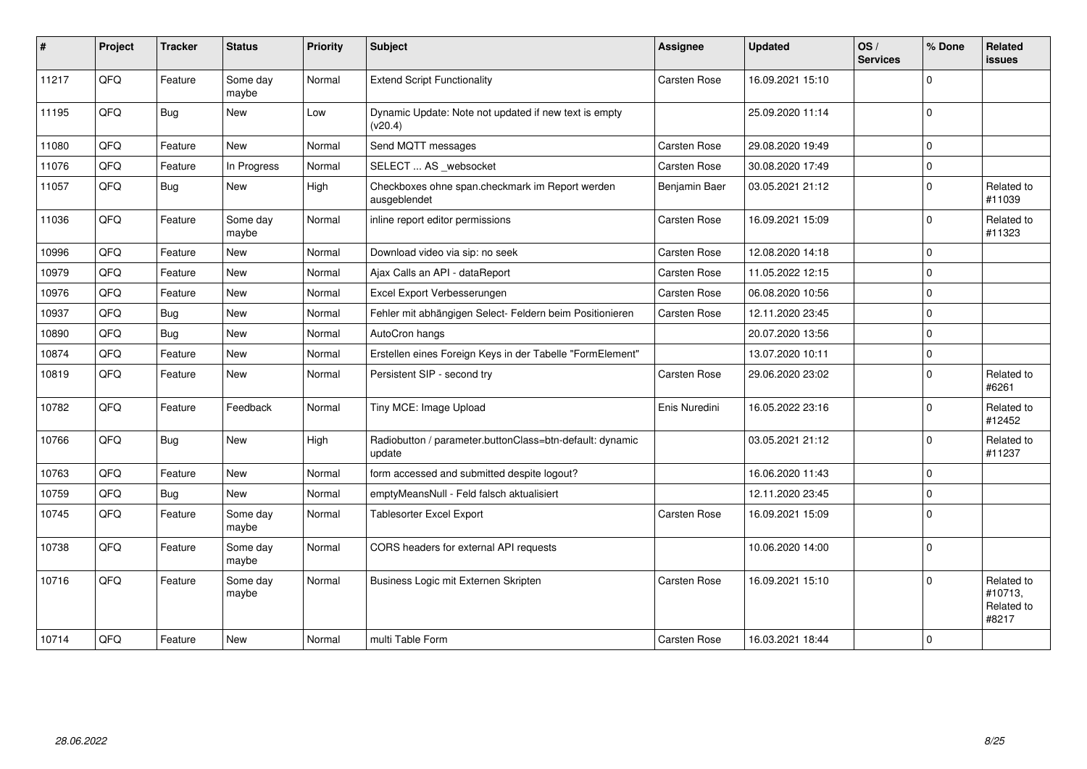| #     | Project | <b>Tracker</b> | <b>Status</b>     | <b>Priority</b> | <b>Subject</b>                                                     | <b>Assignee</b>     | <b>Updated</b>   | OS/<br><b>Services</b> | % Done      | Related<br><b>issues</b>                     |
|-------|---------|----------------|-------------------|-----------------|--------------------------------------------------------------------|---------------------|------------------|------------------------|-------------|----------------------------------------------|
| 11217 | QFQ     | Feature        | Some day<br>maybe | Normal          | <b>Extend Script Functionality</b>                                 | Carsten Rose        | 16.09.2021 15:10 |                        | $\Omega$    |                                              |
| 11195 | QFQ     | Bug            | New               | Low             | Dynamic Update: Note not updated if new text is empty<br>(v20.4)   |                     | 25.09.2020 11:14 |                        | $\mathbf 0$ |                                              |
| 11080 | QFQ     | Feature        | New               | Normal          | Send MQTT messages                                                 | Carsten Rose        | 29.08.2020 19:49 |                        | $\mathbf 0$ |                                              |
| 11076 | QFQ     | Feature        | In Progress       | Normal          | SELECT  AS _websocket                                              | Carsten Rose        | 30.08.2020 17:49 |                        | $\mathbf 0$ |                                              |
| 11057 | QFQ     | Bug            | New               | High            | Checkboxes ohne span.checkmark im Report werden<br>ausgeblendet    | Benjamin Baer       | 03.05.2021 21:12 |                        | $\Omega$    | Related to<br>#11039                         |
| 11036 | QFQ     | Feature        | Some day<br>maybe | Normal          | inline report editor permissions                                   | Carsten Rose        | 16.09.2021 15:09 |                        | $\Omega$    | Related to<br>#11323                         |
| 10996 | QFQ     | Feature        | New               | Normal          | Download video via sip: no seek                                    | Carsten Rose        | 12.08.2020 14:18 |                        | $\Omega$    |                                              |
| 10979 | QFQ     | Feature        | <b>New</b>        | Normal          | Ajax Calls an API - dataReport                                     | Carsten Rose        | 11.05.2022 12:15 |                        | $\Omega$    |                                              |
| 10976 | QFQ     | Feature        | <b>New</b>        | Normal          | Excel Export Verbesserungen                                        | Carsten Rose        | 06.08.2020 10:56 |                        | $\Omega$    |                                              |
| 10937 | QFQ     | <b>Bug</b>     | <b>New</b>        | Normal          | Fehler mit abhängigen Select- Feldern beim Positionieren           | Carsten Rose        | 12.11.2020 23:45 |                        | $\mathbf 0$ |                                              |
| 10890 | QFQ     | Bug            | New               | Normal          | AutoCron hangs                                                     |                     | 20.07.2020 13:56 |                        | $\Omega$    |                                              |
| 10874 | QFQ     | Feature        | <b>New</b>        | Normal          | Erstellen eines Foreign Keys in der Tabelle "FormElement"          |                     | 13.07.2020 10:11 |                        | $\Omega$    |                                              |
| 10819 | QFQ     | Feature        | New               | Normal          | Persistent SIP - second try                                        | Carsten Rose        | 29.06.2020 23:02 |                        | $\mathbf 0$ | Related to<br>#6261                          |
| 10782 | QFQ     | Feature        | Feedback          | Normal          | Tiny MCE: Image Upload                                             | Enis Nuredini       | 16.05.2022 23:16 |                        | $\Omega$    | Related to<br>#12452                         |
| 10766 | QFQ     | Bug            | New               | High            | Radiobutton / parameter.buttonClass=btn-default: dynamic<br>update |                     | 03.05.2021 21:12 |                        | $\Omega$    | Related to<br>#11237                         |
| 10763 | QFQ     | Feature        | New               | Normal          | form accessed and submitted despite logout?                        |                     | 16.06.2020 11:43 |                        | $\mathbf 0$ |                                              |
| 10759 | QFQ     | <b>Bug</b>     | New               | Normal          | emptyMeansNull - Feld falsch aktualisiert                          |                     | 12.11.2020 23:45 |                        | $\mathbf 0$ |                                              |
| 10745 | QFQ     | Feature        | Some day<br>maybe | Normal          | Tablesorter Excel Export                                           | Carsten Rose        | 16.09.2021 15:09 |                        | $\mathbf 0$ |                                              |
| 10738 | QFQ     | Feature        | Some day<br>maybe | Normal          | CORS headers for external API requests                             |                     | 10.06.2020 14:00 |                        | $\Omega$    |                                              |
| 10716 | QFQ     | Feature        | Some day<br>maybe | Normal          | Business Logic mit Externen Skripten                               | <b>Carsten Rose</b> | 16.09.2021 15:10 |                        | $\Omega$    | Related to<br>#10713,<br>Related to<br>#8217 |
| 10714 | QFQ     | Feature        | <b>New</b>        | Normal          | multi Table Form                                                   | <b>Carsten Rose</b> | 16.03.2021 18:44 |                        | l 0         |                                              |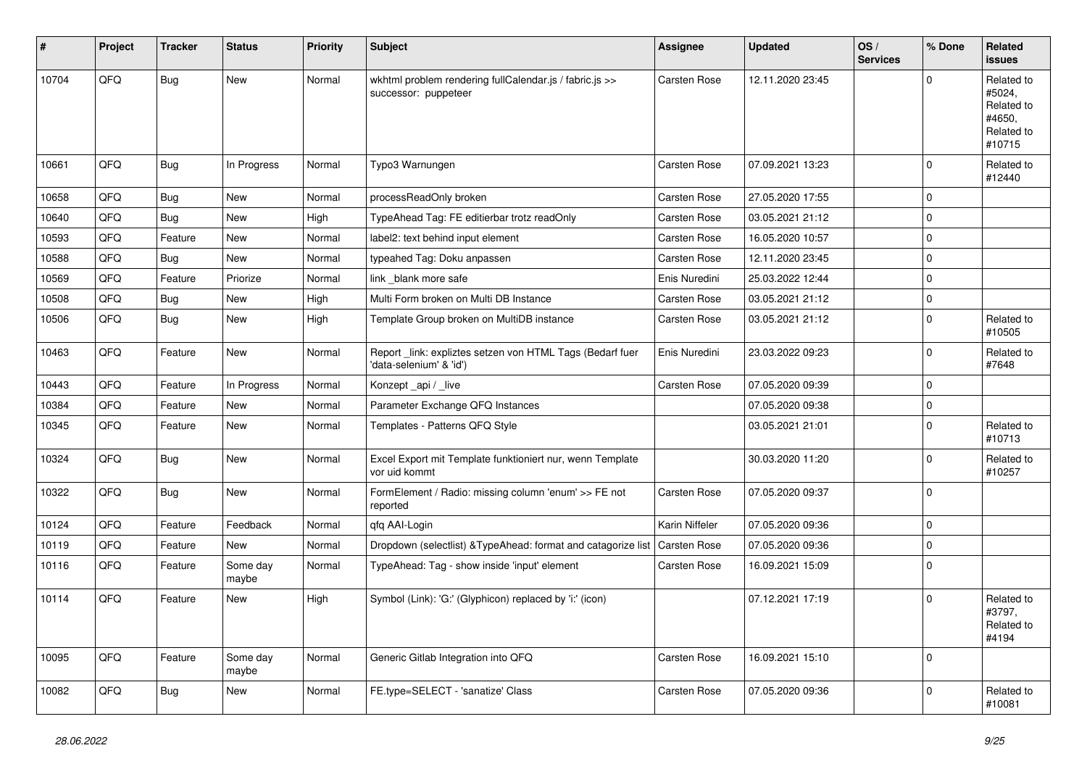| #     | Project | <b>Tracker</b> | <b>Status</b>     | <b>Priority</b> | <b>Subject</b>                                                                      | Assignee            | <b>Updated</b>   | OS/<br><b>Services</b> | % Done      | Related<br><b>issues</b>                                             |
|-------|---------|----------------|-------------------|-----------------|-------------------------------------------------------------------------------------|---------------------|------------------|------------------------|-------------|----------------------------------------------------------------------|
| 10704 | QFQ     | <b>Bug</b>     | <b>New</b>        | Normal          | wkhtml problem rendering fullCalendar.js / fabric.js >><br>successor: puppeteer     | Carsten Rose        | 12.11.2020 23:45 |                        | $\Omega$    | Related to<br>#5024,<br>Related to<br>#4650.<br>Related to<br>#10715 |
| 10661 | QFQ     | Bug            | In Progress       | Normal          | Typo3 Warnungen                                                                     | Carsten Rose        | 07.09.2021 13:23 |                        | $\Omega$    | Related to<br>#12440                                                 |
| 10658 | QFQ     | Bug            | <b>New</b>        | Normal          | processReadOnly broken                                                              | Carsten Rose        | 27.05.2020 17:55 |                        | l O         |                                                                      |
| 10640 | QFQ     | <b>Bug</b>     | <b>New</b>        | High            | TypeAhead Tag: FE editierbar trotz readOnly                                         | Carsten Rose        | 03.05.2021 21:12 |                        | $\Omega$    |                                                                      |
| 10593 | QFQ     | Feature        | <b>New</b>        | Normal          | label2: text behind input element                                                   | Carsten Rose        | 16.05.2020 10:57 |                        | $\Omega$    |                                                                      |
| 10588 | QFQ     | <b>Bug</b>     | <b>New</b>        | Normal          | typeahed Tag: Doku anpassen                                                         | <b>Carsten Rose</b> | 12.11.2020 23:45 |                        | $\Omega$    |                                                                      |
| 10569 | QFQ     | Feature        | Priorize          | Normal          | link blank more safe                                                                | Enis Nuredini       | 25.03.2022 12:44 |                        | I٥          |                                                                      |
| 10508 | QFQ     | Bug            | <b>New</b>        | High            | Multi Form broken on Multi DB Instance                                              | Carsten Rose        | 03.05.2021 21:12 |                        | l o         |                                                                      |
| 10506 | QFQ     | Bug            | <b>New</b>        | High            | Template Group broken on MultiDB instance                                           | Carsten Rose        | 03.05.2021 21:12 |                        | l O         | Related to<br>#10505                                                 |
| 10463 | QFQ     | Feature        | New               | Normal          | Report_link: expliztes setzen von HTML Tags (Bedarf fuer<br>'data-selenium' & 'id') | Enis Nuredini       | 23.03.2022 09:23 |                        | $\Omega$    | Related to<br>#7648                                                  |
| 10443 | QFQ     | Feature        | In Progress       | Normal          | Konzept_api / _live                                                                 | Carsten Rose        | 07.05.2020 09:39 |                        | $\Omega$    |                                                                      |
| 10384 | QFQ     | Feature        | <b>New</b>        | Normal          | Parameter Exchange QFQ Instances                                                    |                     | 07.05.2020 09:38 |                        | $\Omega$    |                                                                      |
| 10345 | QFQ     | Feature        | New               | Normal          | Templates - Patterns QFQ Style                                                      |                     | 03.05.2021 21:01 |                        | $\Omega$    | Related to<br>#10713                                                 |
| 10324 | QFQ     | <b>Bug</b>     | <b>New</b>        | Normal          | Excel Export mit Template funktioniert nur, wenn Template<br>vor uid kommt          |                     | 30.03.2020 11:20 |                        | $\Omega$    | Related to<br>#10257                                                 |
| 10322 | QFQ     | Bug            | New               | Normal          | FormElement / Radio: missing column 'enum' >> FE not<br>reported                    | Carsten Rose        | 07.05.2020 09:37 |                        | l o         |                                                                      |
| 10124 | QFQ     | Feature        | Feedback          | Normal          | gfg AAI-Login                                                                       | Karin Niffeler      | 07.05.2020 09:36 |                        | $\mathbf 0$ |                                                                      |
| 10119 | QFQ     | Feature        | <b>New</b>        | Normal          | Dropdown (selectlist) & Type Ahead: format and catagorize list                      | Carsten Rose        | 07.05.2020 09:36 |                        | $\mathbf 0$ |                                                                      |
| 10116 | QFQ     | Feature        | Some day<br>maybe | Normal          | TypeAhead: Tag - show inside 'input' element                                        | Carsten Rose        | 16.09.2021 15:09 |                        | $\Omega$    |                                                                      |
| 10114 | QFQ     | Feature        | <b>New</b>        | High            | Symbol (Link): 'G:' (Glyphicon) replaced by 'i:' (icon)                             |                     | 07.12.2021 17:19 |                        | $\Omega$    | Related to<br>#3797,<br>Related to<br>#4194                          |
| 10095 | QFQ     | Feature        | Some day<br>maybe | Normal          | Generic Gitlab Integration into QFQ                                                 | Carsten Rose        | 16.09.2021 15:10 |                        | l o         |                                                                      |
| 10082 | QFQ     | <b>Bug</b>     | <b>New</b>        | Normal          | FE.type=SELECT - 'sanatize' Class                                                   | Carsten Rose        | 07.05.2020 09:36 |                        | $\Omega$    | Related to<br>#10081                                                 |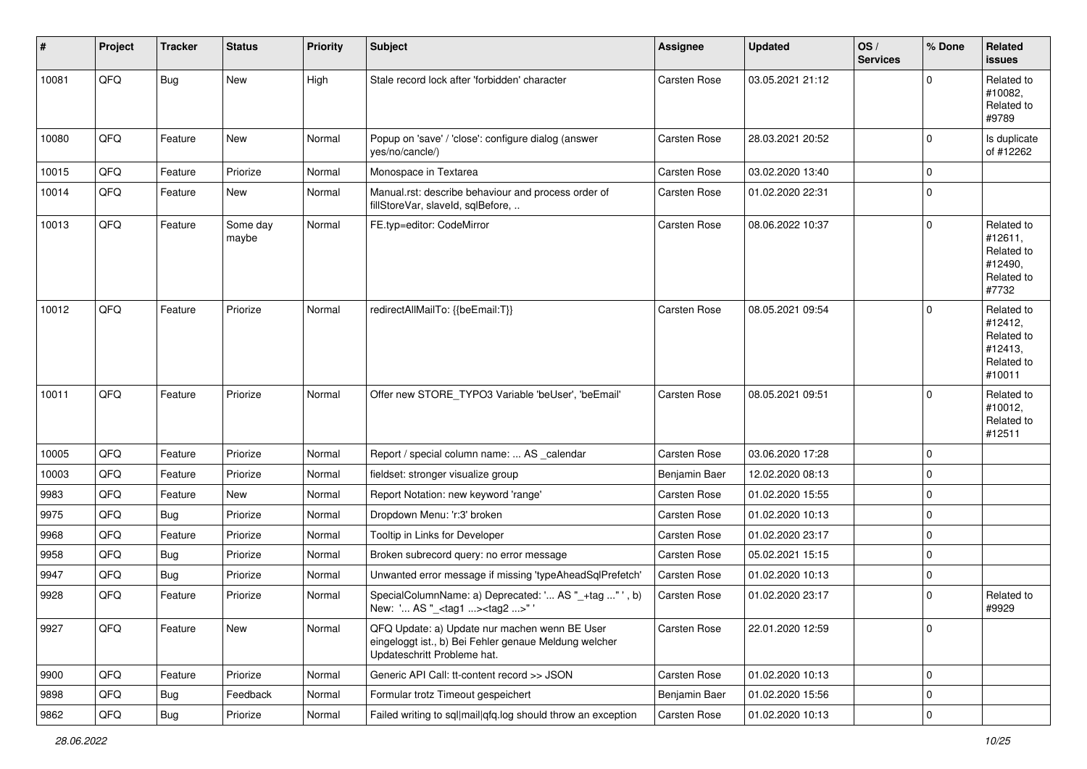| #     | Project | <b>Tracker</b> | <b>Status</b>     | <b>Priority</b> | <b>Subject</b>                                                                                                                        | <b>Assignee</b> | <b>Updated</b>   | OS/<br><b>Services</b> | % Done      | Related<br>issues                                                      |
|-------|---------|----------------|-------------------|-----------------|---------------------------------------------------------------------------------------------------------------------------------------|-----------------|------------------|------------------------|-------------|------------------------------------------------------------------------|
| 10081 | QFQ     | Bug            | New               | High            | Stale record lock after 'forbidden' character                                                                                         | Carsten Rose    | 03.05.2021 21:12 |                        |             | Related to<br>#10082,<br>Related to<br>#9789                           |
| 10080 | QFQ     | Feature        | New               | Normal          | Popup on 'save' / 'close': configure dialog (answer<br>yes/no/cancle/)                                                                | Carsten Rose    | 28.03.2021 20:52 |                        | $\Omega$    | Is duplicate<br>of #12262                                              |
| 10015 | QFQ     | Feature        | Priorize          | Normal          | Monospace in Textarea                                                                                                                 | Carsten Rose    | 03.02.2020 13:40 |                        | $\mathbf 0$ |                                                                        |
| 10014 | QFQ     | Feature        | New               | Normal          | Manual.rst: describe behaviour and process order of<br>fillStoreVar, slaveId, sqlBefore,                                              | Carsten Rose    | 01.02.2020 22:31 |                        | $\Omega$    |                                                                        |
| 10013 | QFQ     | Feature        | Some day<br>maybe | Normal          | FE.typ=editor: CodeMirror                                                                                                             | Carsten Rose    | 08.06.2022 10:37 |                        | $\mathbf 0$ | Related to<br>#12611,<br>Related to<br>#12490,<br>Related to<br>#7732  |
| 10012 | QFQ     | Feature        | Priorize          | Normal          | redirectAllMailTo: {{beEmail:T}}                                                                                                      | Carsten Rose    | 08.05.2021 09:54 |                        | $\Omega$    | Related to<br>#12412,<br>Related to<br>#12413,<br>Related to<br>#10011 |
| 10011 | QFQ     | Feature        | Priorize          | Normal          | Offer new STORE_TYPO3 Variable 'beUser', 'beEmail'                                                                                    | Carsten Rose    | 08.05.2021 09:51 |                        | $\Omega$    | Related to<br>#10012,<br>Related to<br>#12511                          |
| 10005 | QFQ     | Feature        | Priorize          | Normal          | Report / special column name:  AS _calendar                                                                                           | Carsten Rose    | 03.06.2020 17:28 |                        | $\mathbf 0$ |                                                                        |
| 10003 | QFQ     | Feature        | Priorize          | Normal          | fieldset: stronger visualize group                                                                                                    | Benjamin Baer   | 12.02.2020 08:13 |                        | $\mathbf 0$ |                                                                        |
| 9983  | QFQ     | Feature        | New               | Normal          | Report Notation: new keyword 'range'                                                                                                  | Carsten Rose    | 01.02.2020 15:55 |                        | 0           |                                                                        |
| 9975  | QFQ     | Bug            | Priorize          | Normal          | Dropdown Menu: 'r:3' broken                                                                                                           | Carsten Rose    | 01.02.2020 10:13 |                        | $\mathbf 0$ |                                                                        |
| 9968  | QFQ     | Feature        | Priorize          | Normal          | Tooltip in Links for Developer                                                                                                        | Carsten Rose    | 01.02.2020 23:17 |                        | $\mathbf 0$ |                                                                        |
| 9958  | QFQ     | <b>Bug</b>     | Priorize          | Normal          | Broken subrecord query: no error message                                                                                              | Carsten Rose    | 05.02.2021 15:15 |                        | $\Omega$    |                                                                        |
| 9947  | QFQ     | Bug            | Priorize          | Normal          | Unwanted error message if missing 'typeAheadSqlPrefetch'                                                                              | Carsten Rose    | 01.02.2020 10:13 |                        | 0           |                                                                        |
| 9928  | QFQ     | Feature        | Priorize          | Normal          | SpecialColumnName: a) Deprecated: ' AS "_+tag " ', b)<br>New: ' AS "_ <tag1><tag2>"'</tag2></tag1>                                    | Carsten Rose    | 01.02.2020 23:17 |                        | $\Omega$    | Related to<br>#9929                                                    |
| 9927  | QFQ     | Feature        | New               | Normal          | QFQ Update: a) Update nur machen wenn BE User<br>eingeloggt ist., b) Bei Fehler genaue Meldung welcher<br>Updateschritt Probleme hat. | Carsten Rose    | 22.01.2020 12:59 |                        | 0           |                                                                        |
| 9900  | QFG     | Feature        | Priorize          | Normal          | Generic API Call: tt-content record >> JSON                                                                                           | Carsten Rose    | 01.02.2020 10:13 |                        | $\mathbf 0$ |                                                                        |
| 9898  | QFQ     | <b>Bug</b>     | Feedback          | Normal          | Formular trotz Timeout gespeichert                                                                                                    | Benjamin Baer   | 01.02.2020 15:56 |                        | $\mathbf 0$ |                                                                        |
| 9862  | QFO     | Bug            | Priorize          | Normal          | Failed writing to sql mail qfq.log should throw an exception                                                                          | Carsten Rose    | 01.02.2020 10:13 |                        | $\mathbf 0$ |                                                                        |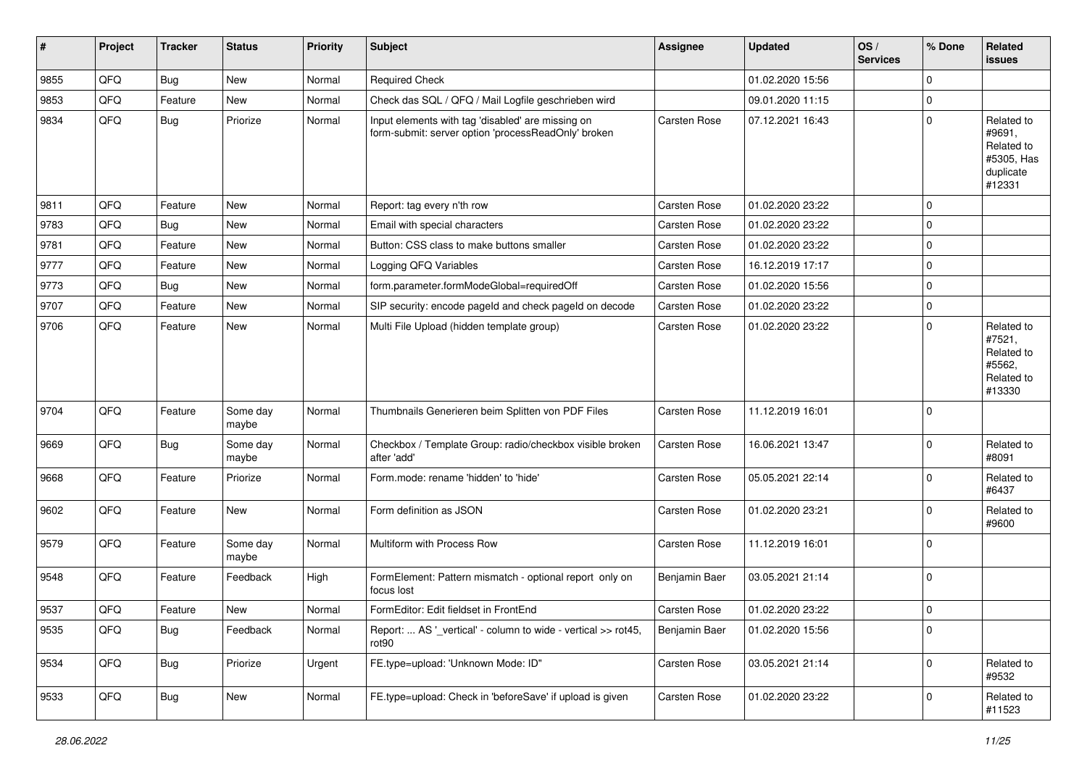| $\vert$ # | Project | <b>Tracker</b> | <b>Status</b>     | <b>Priority</b> | <b>Subject</b>                                                                                           | <b>Assignee</b> | <b>Updated</b>   | OS/<br><b>Services</b> | % Done      | Related<br>issues                                                       |
|-----------|---------|----------------|-------------------|-----------------|----------------------------------------------------------------------------------------------------------|-----------------|------------------|------------------------|-------------|-------------------------------------------------------------------------|
| 9855      | QFQ     | Bug            | New               | Normal          | <b>Required Check</b>                                                                                    |                 | 01.02.2020 15:56 |                        | $\Omega$    |                                                                         |
| 9853      | QFQ     | Feature        | New               | Normal          | Check das SQL / QFQ / Mail Logfile geschrieben wird                                                      |                 | 09.01.2020 11:15 |                        | $\Omega$    |                                                                         |
| 9834      | QFQ     | Bug            | Priorize          | Normal          | Input elements with tag 'disabled' are missing on<br>form-submit: server option 'processReadOnly' broken | Carsten Rose    | 07.12.2021 16:43 |                        | $\Omega$    | Related to<br>#9691,<br>Related to<br>#5305, Has<br>duplicate<br>#12331 |
| 9811      | QFQ     | Feature        | <b>New</b>        | Normal          | Report: tag every n'th row                                                                               | Carsten Rose    | 01.02.2020 23:22 |                        | $\mathbf 0$ |                                                                         |
| 9783      | QFQ     | Bug            | New               | Normal          | Email with special characters                                                                            | Carsten Rose    | 01.02.2020 23:22 |                        | $\mathbf 0$ |                                                                         |
| 9781      | QFQ     | Feature        | New               | Normal          | Button: CSS class to make buttons smaller                                                                | Carsten Rose    | 01.02.2020 23:22 |                        | $\Omega$    |                                                                         |
| 9777      | QFQ     | Feature        | New               | Normal          | Logging QFQ Variables                                                                                    | Carsten Rose    | 16.12.2019 17:17 |                        | 0           |                                                                         |
| 9773      | QFQ     | Bug            | New               | Normal          | form.parameter.formModeGlobal=requiredOff                                                                | Carsten Rose    | 01.02.2020 15:56 |                        | $\Omega$    |                                                                         |
| 9707      | QFQ     | Feature        | <b>New</b>        | Normal          | SIP security: encode pageld and check pageld on decode                                                   | Carsten Rose    | 01.02.2020 23:22 |                        | $\mathbf 0$ |                                                                         |
| 9706      | QFQ     | Feature        | New               | Normal          | Multi File Upload (hidden template group)                                                                | Carsten Rose    | 01.02.2020 23:22 |                        | $\Omega$    | Related to<br>#7521,<br>Related to<br>#5562,<br>Related to<br>#13330    |
| 9704      | QFQ     | Feature        | Some day<br>maybe | Normal          | Thumbnails Generieren beim Splitten von PDF Files                                                        | Carsten Rose    | 11.12.2019 16:01 |                        | 0           |                                                                         |
| 9669      | QFQ     | Bug            | Some day<br>maybe | Normal          | Checkbox / Template Group: radio/checkbox visible broken<br>after 'add'                                  | Carsten Rose    | 16.06.2021 13:47 |                        | $\mathbf 0$ | Related to<br>#8091                                                     |
| 9668      | QFQ     | Feature        | Priorize          | Normal          | Form.mode: rename 'hidden' to 'hide'                                                                     | Carsten Rose    | 05.05.2021 22:14 |                        | $\Omega$    | Related to<br>#6437                                                     |
| 9602      | QFQ     | Feature        | New               | Normal          | Form definition as JSON                                                                                  | Carsten Rose    | 01.02.2020 23:21 |                        | $\Omega$    | Related to<br>#9600                                                     |
| 9579      | QFQ     | Feature        | Some day<br>maybe | Normal          | Multiform with Process Row                                                                               | Carsten Rose    | 11.12.2019 16:01 |                        | $\mathbf 0$ |                                                                         |
| 9548      | QFQ     | Feature        | Feedback          | High            | FormElement: Pattern mismatch - optional report only on<br>focus lost                                    | Benjamin Baer   | 03.05.2021 21:14 |                        | 0           |                                                                         |
| 9537      | QFQ     | Feature        | <b>New</b>        | Normal          | FormEditor: Edit fieldset in FrontEnd                                                                    | Carsten Rose    | 01.02.2020 23:22 |                        | l 0         |                                                                         |
| 9535      | QFQ     | Bug            | Feedback          | Normal          | Report:  AS ' vertical' - column to wide - vertical >> rot45,<br>rot <sub>90</sub>                       | Benjamin Baer   | 01.02.2020 15:56 |                        | 0           |                                                                         |
| 9534      | QFQ     | <b>Bug</b>     | Priorize          | Urgent          | FE.type=upload: 'Unknown Mode: ID"                                                                       | Carsten Rose    | 03.05.2021 21:14 |                        | $\mathbf 0$ | Related to<br>#9532                                                     |
| 9533      | QFQ     | <b>Bug</b>     | New               | Normal          | FE.type=upload: Check in 'beforeSave' if upload is given                                                 | Carsten Rose    | 01.02.2020 23:22 |                        | 0           | Related to<br>#11523                                                    |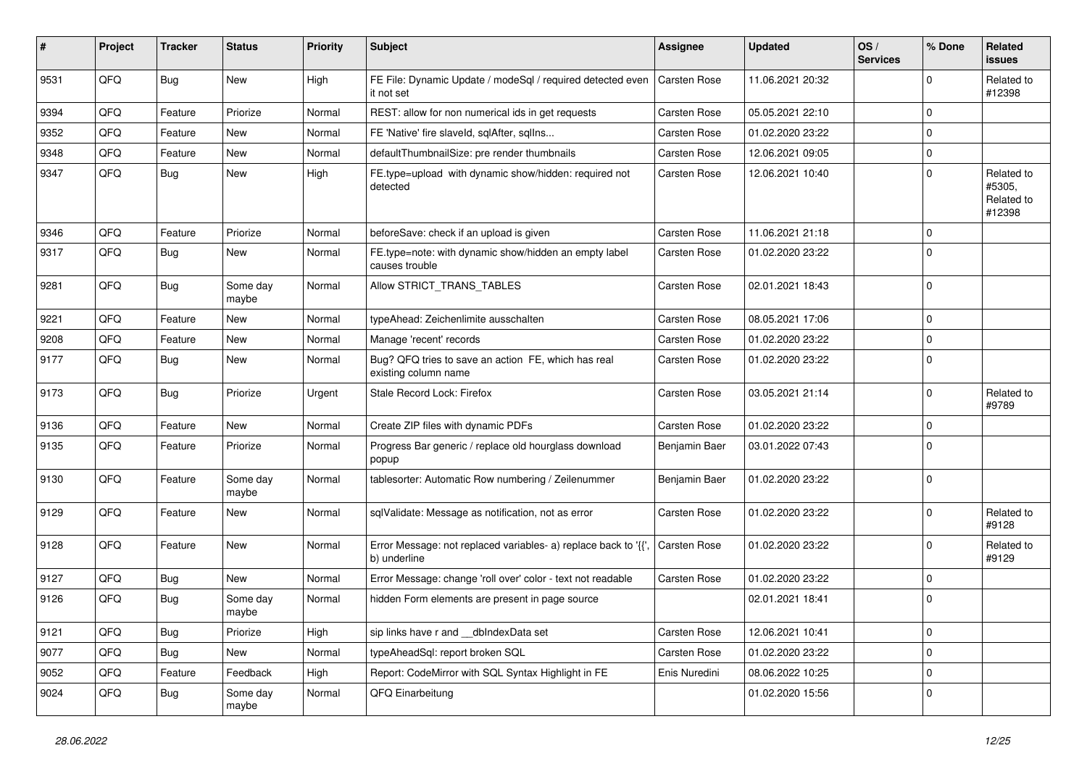| #    | Project | <b>Tracker</b> | <b>Status</b>     | <b>Priority</b> | Subject                                                                        | Assignee            | <b>Updated</b>   | OS/<br><b>Services</b> | % Done      | Related<br>issues                            |
|------|---------|----------------|-------------------|-----------------|--------------------------------------------------------------------------------|---------------------|------------------|------------------------|-------------|----------------------------------------------|
| 9531 | QFQ     | Bug            | New               | High            | FE File: Dynamic Update / modeSql / required detected even<br>it not set       | <b>Carsten Rose</b> | 11.06.2021 20:32 |                        | $\Omega$    | Related to<br>#12398                         |
| 9394 | QFQ     | Feature        | Priorize          | Normal          | REST: allow for non numerical ids in get requests                              | Carsten Rose        | 05.05.2021 22:10 |                        | $\Omega$    |                                              |
| 9352 | QFQ     | Feature        | New               | Normal          | FE 'Native' fire slaveld, sqlAfter, sqlIns                                     | Carsten Rose        | 01.02.2020 23:22 |                        | $\Omega$    |                                              |
| 9348 | QFQ     | Feature        | New               | Normal          | defaultThumbnailSize: pre render thumbnails                                    | Carsten Rose        | 12.06.2021 09:05 |                        | $\mathbf 0$ |                                              |
| 9347 | QFQ     | Bug            | New               | High            | FE.type=upload with dynamic show/hidden: required not<br>detected              | Carsten Rose        | 12.06.2021 10:40 |                        | $\Omega$    | Related to<br>#5305,<br>Related to<br>#12398 |
| 9346 | QFQ     | Feature        | Priorize          | Normal          | beforeSave: check if an upload is given                                        | Carsten Rose        | 11.06.2021 21:18 |                        | $\Omega$    |                                              |
| 9317 | QFQ     | Bug            | New               | Normal          | FE.type=note: with dynamic show/hidden an empty label<br>causes trouble        | Carsten Rose        | 01.02.2020 23:22 |                        | $\Omega$    |                                              |
| 9281 | QFQ     | Bug            | Some day<br>maybe | Normal          | Allow STRICT_TRANS_TABLES                                                      | Carsten Rose        | 02.01.2021 18:43 |                        | l 0         |                                              |
| 9221 | QFQ     | Feature        | <b>New</b>        | Normal          | typeAhead: Zeichenlimite ausschalten                                           | Carsten Rose        | 08.05.2021 17:06 |                        | $\mathbf 0$ |                                              |
| 9208 | QFQ     | Feature        | New               | Normal          | Manage 'recent' records                                                        | Carsten Rose        | 01.02.2020 23:22 |                        | $\mathbf 0$ |                                              |
| 9177 | QFQ     | Bug            | New               | Normal          | Bug? QFQ tries to save an action FE, which has real<br>existing column name    | Carsten Rose        | 01.02.2020 23:22 |                        | 0           |                                              |
| 9173 | QFQ     | Bug            | Priorize          | Urgent          | Stale Record Lock: Firefox                                                     | Carsten Rose        | 03.05.2021 21:14 |                        | $\Omega$    | Related to<br>#9789                          |
| 9136 | QFQ     | Feature        | New               | Normal          | Create ZIP files with dynamic PDFs                                             | Carsten Rose        | 01.02.2020 23:22 |                        | $\mathbf 0$ |                                              |
| 9135 | QFQ     | Feature        | Priorize          | Normal          | Progress Bar generic / replace old hourglass download<br>popup                 | Benjamin Baer       | 03.01.2022 07:43 |                        | $\Omega$    |                                              |
| 9130 | QFQ     | Feature        | Some day<br>maybe | Normal          | tablesorter: Automatic Row numbering / Zeilenummer                             | Benjamin Baer       | 01.02.2020 23:22 |                        | l 0         |                                              |
| 9129 | QFQ     | Feature        | <b>New</b>        | Normal          | sqlValidate: Message as notification, not as error                             | Carsten Rose        | 01.02.2020 23:22 |                        | $\Omega$    | Related to<br>#9128                          |
| 9128 | QFQ     | Feature        | New               | Normal          | Error Message: not replaced variables- a) replace back to '{',<br>b) underline | Carsten Rose        | 01.02.2020 23:22 |                        | l 0         | Related to<br>#9129                          |
| 9127 | QFQ     | Bug            | New               | Normal          | Error Message: change 'roll over' color - text not readable                    | Carsten Rose        | 01.02.2020 23:22 |                        | $\Omega$    |                                              |
| 9126 | QFQ     | <b>Bug</b>     | Some day<br>maybe | Normal          | hidden Form elements are present in page source                                |                     | 02.01.2021 18:41 |                        | $\Omega$    |                                              |
| 9121 | QFQ     | Bug            | Priorize          | High            | sip links have r and __dbIndexData set                                         | Carsten Rose        | 12.06.2021 10:41 |                        | $\mathbf 0$ |                                              |
| 9077 | QFQ     | Bug            | New               | Normal          | typeAheadSql: report broken SQL                                                | Carsten Rose        | 01.02.2020 23:22 |                        | 0           |                                              |
| 9052 | QFQ     | Feature        | Feedback          | High            | Report: CodeMirror with SQL Syntax Highlight in FE                             | Enis Nuredini       | 08.06.2022 10:25 |                        | $\mathbf 0$ |                                              |
| 9024 | QFQ     | Bug            | Some day<br>maybe | Normal          | QFQ Einarbeitung                                                               |                     | 01.02.2020 15:56 |                        | 0           |                                              |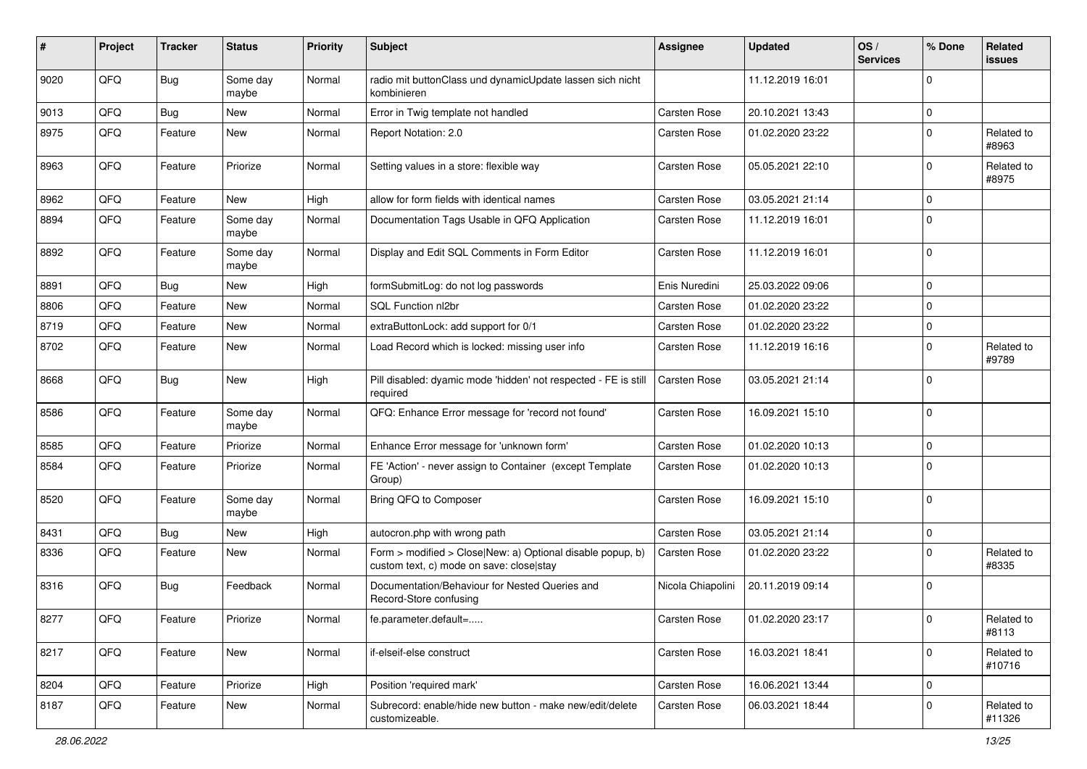| #    | Project | <b>Tracker</b> | <b>Status</b>     | <b>Priority</b> | <b>Subject</b>                                                                                         | <b>Assignee</b>   | <b>Updated</b>   | OS/<br><b>Services</b> | % Done      | Related<br>issues    |
|------|---------|----------------|-------------------|-----------------|--------------------------------------------------------------------------------------------------------|-------------------|------------------|------------------------|-------------|----------------------|
| 9020 | QFQ     | Bug            | Some day<br>maybe | Normal          | radio mit buttonClass und dynamicUpdate lassen sich nicht<br>kombinieren                               |                   | 11.12.2019 16:01 |                        | $\Omega$    |                      |
| 9013 | QFQ     | Bug            | New               | Normal          | Error in Twig template not handled                                                                     | Carsten Rose      | 20.10.2021 13:43 |                        | $\Omega$    |                      |
| 8975 | QFQ     | Feature        | New               | Normal          | Report Notation: 2.0                                                                                   | Carsten Rose      | 01.02.2020 23:22 |                        | $\Omega$    | Related to<br>#8963  |
| 8963 | QFQ     | Feature        | Priorize          | Normal          | Setting values in a store: flexible way                                                                | Carsten Rose      | 05.05.2021 22:10 |                        | $\Omega$    | Related to<br>#8975  |
| 8962 | QFQ     | Feature        | New               | High            | allow for form fields with identical names                                                             | Carsten Rose      | 03.05.2021 21:14 |                        | $\Omega$    |                      |
| 8894 | QFQ     | Feature        | Some day<br>maybe | Normal          | Documentation Tags Usable in QFQ Application                                                           | Carsten Rose      | 11.12.2019 16:01 |                        | $\Omega$    |                      |
| 8892 | QFQ     | Feature        | Some day<br>maybe | Normal          | Display and Edit SQL Comments in Form Editor                                                           | Carsten Rose      | 11.12.2019 16:01 |                        | $\Omega$    |                      |
| 8891 | QFQ     | Bug            | New               | High            | formSubmitLog: do not log passwords                                                                    | Enis Nuredini     | 25.03.2022 09:06 |                        | $\Omega$    |                      |
| 8806 | QFQ     | Feature        | New               | Normal          | SQL Function nl2br                                                                                     | Carsten Rose      | 01.02.2020 23:22 |                        | $\mathbf 0$ |                      |
| 8719 | QFQ     | Feature        | New               | Normal          | extraButtonLock: add support for 0/1                                                                   | Carsten Rose      | 01.02.2020 23:22 |                        | $\mathbf 0$ |                      |
| 8702 | QFQ     | Feature        | New               | Normal          | Load Record which is locked: missing user info                                                         | Carsten Rose      | 11.12.2019 16:16 |                        | $\Omega$    | Related to<br>#9789  |
| 8668 | QFQ     | Bug            | New               | High            | Pill disabled: dyamic mode 'hidden' not respected - FE is still<br>required                            | Carsten Rose      | 03.05.2021 21:14 |                        | $\Omega$    |                      |
| 8586 | QFQ     | Feature        | Some day<br>maybe | Normal          | QFQ: Enhance Error message for 'record not found'                                                      | Carsten Rose      | 16.09.2021 15:10 |                        | $\Omega$    |                      |
| 8585 | QFQ     | Feature        | Priorize          | Normal          | Enhance Error message for 'unknown form'                                                               | Carsten Rose      | 01.02.2020 10:13 |                        | $\Omega$    |                      |
| 8584 | QFQ     | Feature        | Priorize          | Normal          | FE 'Action' - never assign to Container (except Template<br>Group)                                     | Carsten Rose      | 01.02.2020 10:13 |                        | $\Omega$    |                      |
| 8520 | QFQ     | Feature        | Some day<br>maybe | Normal          | Bring QFQ to Composer                                                                                  | Carsten Rose      | 16.09.2021 15:10 |                        | l 0         |                      |
| 8431 | QFQ     | Bug            | New               | High            | autocron.php with wrong path                                                                           | Carsten Rose      | 03.05.2021 21:14 |                        | $\mathbf 0$ |                      |
| 8336 | QFQ     | Feature        | New               | Normal          | Form > modified > Close New: a) Optional disable popup, b)<br>custom text, c) mode on save: close stay | Carsten Rose      | 01.02.2020 23:22 |                        | $\Omega$    | Related to<br>#8335  |
| 8316 | QFQ     | Bug            | Feedback          | Normal          | Documentation/Behaviour for Nested Queries and<br>Record-Store confusing                               | Nicola Chiapolini | 20.11.2019 09:14 |                        | $\Omega$    |                      |
| 8277 | QFQ     | Feature        | Priorize          | Normal          | fe.parameter.default=                                                                                  | Carsten Rose      | 01.02.2020 23:17 |                        | 0           | Related to<br>#8113  |
| 8217 | QFQ     | Feature        | New               | Normal          | if-elseif-else construct                                                                               | Carsten Rose      | 16.03.2021 18:41 |                        | $\mathbf 0$ | Related to<br>#10716 |
| 8204 | QFQ     | Feature        | Priorize          | High            | Position 'required mark'                                                                               | Carsten Rose      | 16.06.2021 13:44 |                        | 0           |                      |
| 8187 | QFQ     | Feature        | New               | Normal          | Subrecord: enable/hide new button - make new/edit/delete<br>customizeable.                             | Carsten Rose      | 06.03.2021 18:44 |                        | $\mathbf 0$ | Related to<br>#11326 |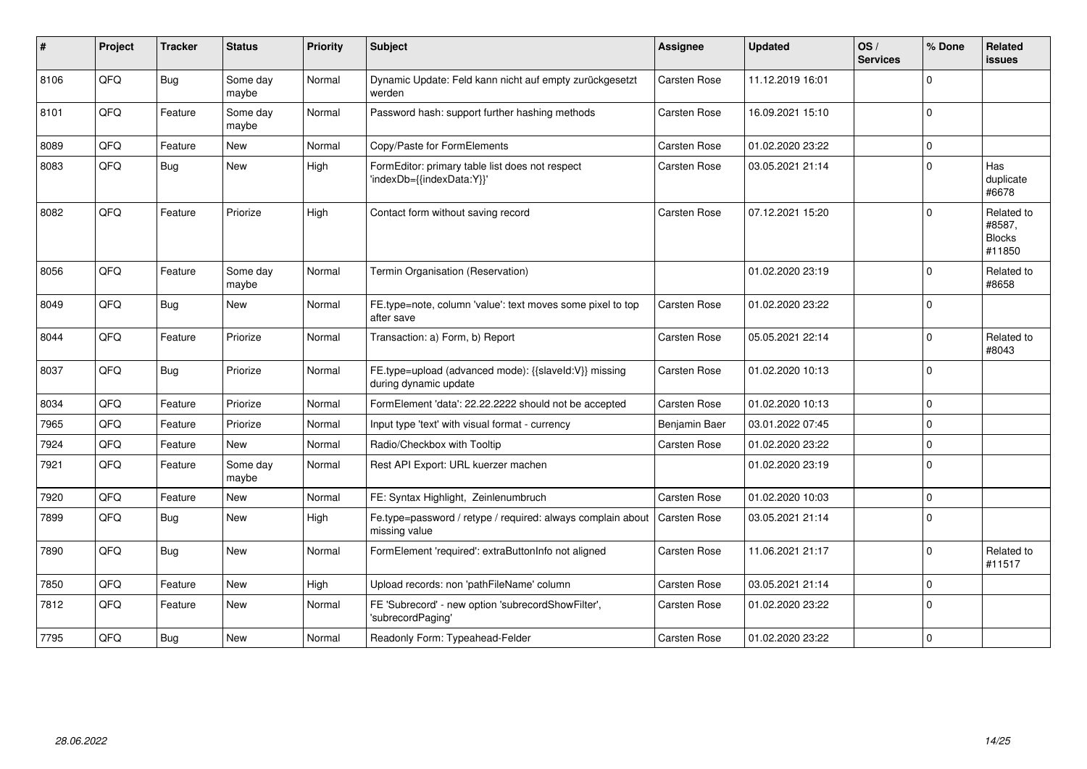| ∦    | Project | <b>Tracker</b> | <b>Status</b>     | <b>Priority</b> | <b>Subject</b>                                                                              | <b>Assignee</b> | <b>Updated</b>   | OS/<br><b>Services</b> | % Done      | <b>Related</b><br><b>issues</b>                 |
|------|---------|----------------|-------------------|-----------------|---------------------------------------------------------------------------------------------|-----------------|------------------|------------------------|-------------|-------------------------------------------------|
| 8106 | QFQ     | <b>Bug</b>     | Some day<br>maybe | Normal          | Dynamic Update: Feld kann nicht auf empty zurückgesetzt<br>werden                           | Carsten Rose    | 11.12.2019 16:01 |                        | $\mathbf 0$ |                                                 |
| 8101 | QFQ     | Feature        | Some day<br>maybe | Normal          | Password hash: support further hashing methods                                              | Carsten Rose    | 16.09.2021 15:10 |                        | $\Omega$    |                                                 |
| 8089 | QFQ     | Feature        | New               | Normal          | Copy/Paste for FormElements                                                                 | Carsten Rose    | 01.02.2020 23:22 |                        | $\mathbf 0$ |                                                 |
| 8083 | QFQ     | Bug            | New               | High            | FormEditor: primary table list does not respect<br>'indexDb={{indexData:Y}}'                | Carsten Rose    | 03.05.2021 21:14 |                        | $\mathbf 0$ | Has<br>duplicate<br>#6678                       |
| 8082 | QFQ     | Feature        | Priorize          | High            | Contact form without saving record                                                          | Carsten Rose    | 07.12.2021 15:20 |                        | $\Omega$    | Related to<br>#8587,<br><b>Blocks</b><br>#11850 |
| 8056 | QFQ     | Feature        | Some day<br>maybe | Normal          | Termin Organisation (Reservation)                                                           |                 | 01.02.2020 23:19 |                        | $\Omega$    | Related to<br>#8658                             |
| 8049 | QFQ     | Bug            | New               | Normal          | FE.type=note, column 'value': text moves some pixel to top<br>after save                    | Carsten Rose    | 01.02.2020 23:22 |                        | $\mathbf 0$ |                                                 |
| 8044 | QFQ     | Feature        | Priorize          | Normal          | Transaction: a) Form, b) Report                                                             | Carsten Rose    | 05.05.2021 22:14 |                        | $\mathbf 0$ | Related to<br>#8043                             |
| 8037 | QFQ     | Bug            | Priorize          | Normal          | FE.type=upload (advanced mode): {{slaveld:V}} missing<br>during dynamic update              | Carsten Rose    | 01.02.2020 10:13 |                        | $\Omega$    |                                                 |
| 8034 | QFQ     | Feature        | Priorize          | Normal          | FormElement 'data': 22.22.2222 should not be accepted                                       | Carsten Rose    | 01.02.2020 10:13 |                        | $\mathbf 0$ |                                                 |
| 7965 | QFQ     | Feature        | Priorize          | Normal          | Input type 'text' with visual format - currency                                             | Benjamin Baer   | 03.01.2022 07:45 |                        | $\mathbf 0$ |                                                 |
| 7924 | QFQ     | Feature        | New               | Normal          | Radio/Checkbox with Tooltip                                                                 | Carsten Rose    | 01.02.2020 23:22 |                        | $\mathbf 0$ |                                                 |
| 7921 | QFQ     | Feature        | Some day<br>maybe | Normal          | Rest API Export: URL kuerzer machen                                                         |                 | 01.02.2020 23:19 |                        | $\Omega$    |                                                 |
| 7920 | QFQ     | Feature        | <b>New</b>        | Normal          | FE: Syntax Highlight, Zeinlenumbruch                                                        | Carsten Rose    | 01.02.2020 10:03 |                        | $\pmb{0}$   |                                                 |
| 7899 | QFQ     | Bug            | <b>New</b>        | High            | Fe.type=password / retype / required: always complain about   Carsten Rose<br>missing value |                 | 03.05.2021 21:14 |                        | $\Omega$    |                                                 |
| 7890 | QFQ     | <b>Bug</b>     | New               | Normal          | FormElement 'required': extraButtonInfo not aligned                                         | Carsten Rose    | 11.06.2021 21:17 |                        | $\Omega$    | Related to<br>#11517                            |
| 7850 | QFQ     | Feature        | <b>New</b>        | High            | Upload records: non 'pathFileName' column                                                   | Carsten Rose    | 03.05.2021 21:14 |                        | $\mathbf 0$ |                                                 |
| 7812 | QFQ     | Feature        | <b>New</b>        | Normal          | FE 'Subrecord' - new option 'subrecordShowFilter',<br>'subrecordPaging'                     | Carsten Rose    | 01.02.2020 23:22 |                        | $\mathbf 0$ |                                                 |
| 7795 | QFQ     | Bug            | New               | Normal          | Readonly Form: Typeahead-Felder                                                             | Carsten Rose    | 01.02.2020 23:22 |                        | $\mathbf 0$ |                                                 |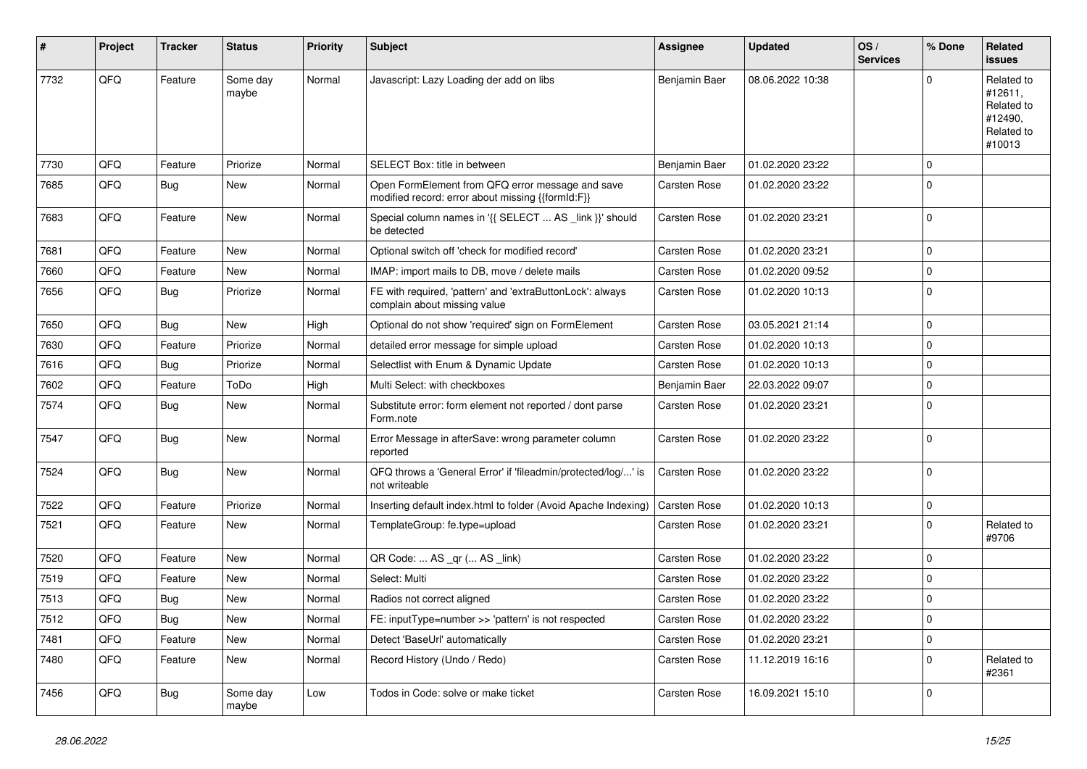| $\sharp$ | Project | <b>Tracker</b> | <b>Status</b>     | <b>Priority</b> | <b>Subject</b>                                                                                        | <b>Assignee</b> | <b>Updated</b>   | OS/<br><b>Services</b> | % Done      | Related<br>issues                                                      |
|----------|---------|----------------|-------------------|-----------------|-------------------------------------------------------------------------------------------------------|-----------------|------------------|------------------------|-------------|------------------------------------------------------------------------|
| 7732     | QFQ     | Feature        | Some day<br>maybe | Normal          | Javascript: Lazy Loading der add on libs                                                              | Benjamin Baer   | 08.06.2022 10:38 |                        | $\Omega$    | Related to<br>#12611,<br>Related to<br>#12490,<br>Related to<br>#10013 |
| 7730     | QFQ     | Feature        | Priorize          | Normal          | SELECT Box: title in between                                                                          | Benjamin Baer   | 01.02.2020 23:22 |                        | $\mathbf 0$ |                                                                        |
| 7685     | QFQ     | Bug            | New               | Normal          | Open FormElement from QFQ error message and save<br>modified record: error about missing {{formId:F}} | Carsten Rose    | 01.02.2020 23:22 |                        | l 0         |                                                                        |
| 7683     | QFQ     | Feature        | New               | Normal          | Special column names in '{{ SELECT  AS _link }}' should<br>be detected                                | Carsten Rose    | 01.02.2020 23:21 |                        | 0           |                                                                        |
| 7681     | QFQ     | Feature        | New               | Normal          | Optional switch off 'check for modified record'                                                       | Carsten Rose    | 01.02.2020 23:21 |                        | 0           |                                                                        |
| 7660     | QFQ     | Feature        | New               | Normal          | IMAP: import mails to DB, move / delete mails                                                         | Carsten Rose    | 01.02.2020 09:52 |                        | $\mathbf 0$ |                                                                        |
| 7656     | QFQ     | <b>Bug</b>     | Priorize          | Normal          | FE with required, 'pattern' and 'extraButtonLock': always<br>complain about missing value             | Carsten Rose    | 01.02.2020 10:13 |                        | 0           |                                                                        |
| 7650     | QFQ     | Bug            | New               | High            | Optional do not show 'required' sign on FormElement                                                   | Carsten Rose    | 03.05.2021 21:14 |                        | $\Omega$    |                                                                        |
| 7630     | QFQ     | Feature        | Priorize          | Normal          | detailed error message for simple upload                                                              | Carsten Rose    | 01.02.2020 10:13 |                        | 0           |                                                                        |
| 7616     | QFQ     | <b>Bug</b>     | Priorize          | Normal          | Selectlist with Enum & Dynamic Update                                                                 | Carsten Rose    | 01.02.2020 10:13 |                        | $\mathbf 0$ |                                                                        |
| 7602     | QFQ     | Feature        | ToDo              | High            | Multi Select: with checkboxes                                                                         | Benjamin Baer   | 22.03.2022 09:07 |                        | $\Omega$    |                                                                        |
| 7574     | QFQ     | <b>Bug</b>     | New               | Normal          | Substitute error: form element not reported / dont parse<br>Form.note                                 | Carsten Rose    | 01.02.2020 23:21 |                        | 0           |                                                                        |
| 7547     | QFQ     | Bug            | New               | Normal          | Error Message in afterSave: wrong parameter column<br>reported                                        | Carsten Rose    | 01.02.2020 23:22 |                        | 0           |                                                                        |
| 7524     | QFQ     | <b>Bug</b>     | <b>New</b>        | Normal          | QFQ throws a 'General Error' if 'fileadmin/protected/log/' is<br>not writeable                        | Carsten Rose    | 01.02.2020 23:22 |                        | 0 I         |                                                                        |
| 7522     | QFQ     | Feature        | Priorize          | Normal          | Inserting default index.html to folder (Avoid Apache Indexing)                                        | Carsten Rose    | 01.02.2020 10:13 |                        | $\mathbf 0$ |                                                                        |
| 7521     | QFQ     | Feature        | New               | Normal          | TemplateGroup: fe.type=upload                                                                         | Carsten Rose    | 01.02.2020 23:21 |                        | $\Omega$    | Related to<br>#9706                                                    |
| 7520     | QFQ     | Feature        | <b>New</b>        | Normal          | QR Code:  AS _qr ( AS _link)                                                                          | Carsten Rose    | 01.02.2020 23:22 |                        | $\mathbf 0$ |                                                                        |
| 7519     | QFQ     | Feature        | New               | Normal          | Select: Multi                                                                                         | Carsten Rose    | 01.02.2020 23:22 |                        | $\mathbf 0$ |                                                                        |
| 7513     | QFQ     | <b>Bug</b>     | <b>New</b>        | Normal          | Radios not correct aligned                                                                            | Carsten Rose    | 01.02.2020 23:22 |                        | $\Omega$    |                                                                        |
| 7512     | QFQ     | Bug            | <b>New</b>        | Normal          | FE: inputType=number >> 'pattern' is not respected                                                    | Carsten Rose    | 01.02.2020 23:22 |                        | 0           |                                                                        |
| 7481     | QFQ     | Feature        | <b>New</b>        | Normal          | Detect 'BaseUrl' automatically                                                                        | Carsten Rose    | 01.02.2020 23:21 |                        | $\mathbf 0$ |                                                                        |
| 7480     | QFQ     | Feature        | New               | Normal          | Record History (Undo / Redo)                                                                          | Carsten Rose    | 11.12.2019 16:16 |                        | $\mathbf 0$ | Related to<br>#2361                                                    |
| 7456     | QFQ     | Bug            | Some day<br>maybe | Low             | Todos in Code: solve or make ticket                                                                   | Carsten Rose    | 16.09.2021 15:10 |                        | 0           |                                                                        |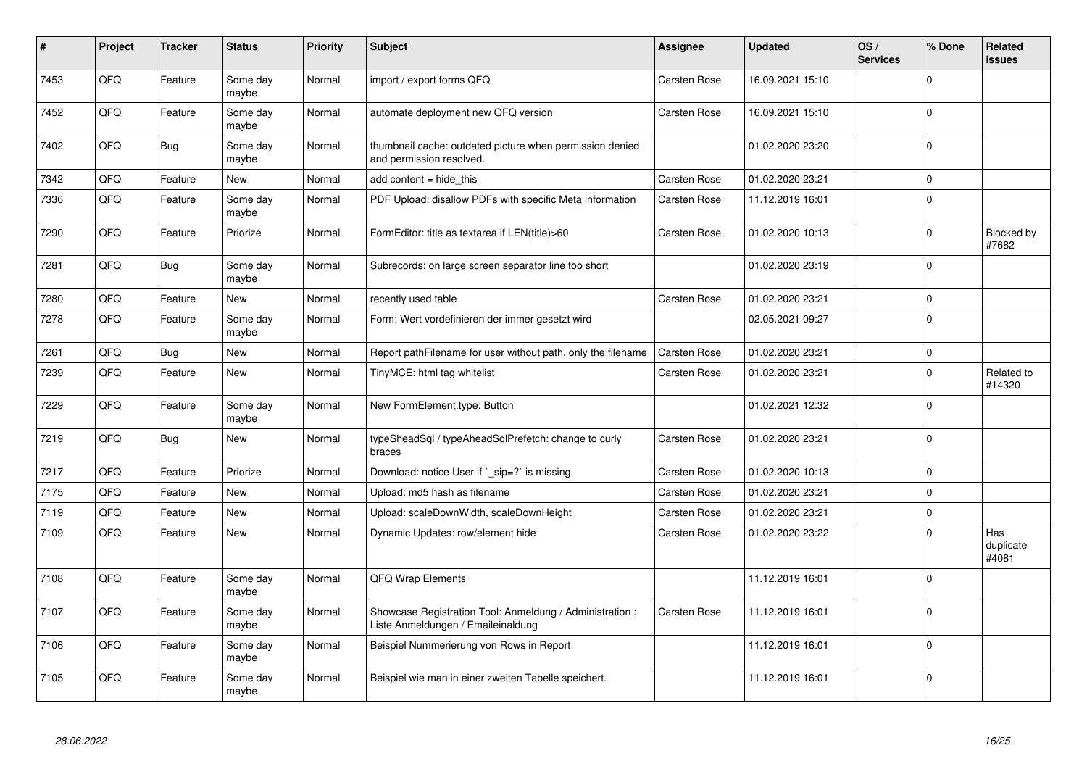| #    | Project | <b>Tracker</b> | <b>Status</b>     | <b>Priority</b> | <b>Subject</b>                                                                                 | <b>Assignee</b>     | <b>Updated</b>   | OS/<br><b>Services</b> | % Done      | Related<br><b>issues</b>  |
|------|---------|----------------|-------------------|-----------------|------------------------------------------------------------------------------------------------|---------------------|------------------|------------------------|-------------|---------------------------|
| 7453 | QFQ     | Feature        | Some day<br>maybe | Normal          | import / export forms QFQ                                                                      | Carsten Rose        | 16.09.2021 15:10 |                        | $\Omega$    |                           |
| 7452 | QFQ     | Feature        | Some day<br>maybe | Normal          | automate deployment new QFQ version                                                            | Carsten Rose        | 16.09.2021 15:10 |                        | $\Omega$    |                           |
| 7402 | QFQ     | Bug            | Some day<br>maybe | Normal          | thumbnail cache: outdated picture when permission denied<br>and permission resolved.           |                     | 01.02.2020 23:20 |                        | $\Omega$    |                           |
| 7342 | QFQ     | Feature        | New               | Normal          | add content $=$ hide this                                                                      | Carsten Rose        | 01.02.2020 23:21 |                        | $\mathbf 0$ |                           |
| 7336 | QFQ     | Feature        | Some day<br>maybe | Normal          | PDF Upload: disallow PDFs with specific Meta information                                       | Carsten Rose        | 11.12.2019 16:01 |                        | $\Omega$    |                           |
| 7290 | QFQ     | Feature        | Priorize          | Normal          | FormEditor: title as textarea if LEN(title)>60                                                 | Carsten Rose        | 01.02.2020 10:13 |                        | $\Omega$    | Blocked by<br>#7682       |
| 7281 | QFQ     | Bug            | Some day<br>maybe | Normal          | Subrecords: on large screen separator line too short                                           |                     | 01.02.2020 23:19 |                        | $\mathbf 0$ |                           |
| 7280 | QFQ     | Feature        | <b>New</b>        | Normal          | recently used table                                                                            | <b>Carsten Rose</b> | 01.02.2020 23:21 |                        | $\Omega$    |                           |
| 7278 | QFQ     | Feature        | Some day<br>maybe | Normal          | Form: Wert vordefinieren der immer gesetzt wird                                                |                     | 02.05.2021 09:27 |                        | $\Omega$    |                           |
| 7261 | QFQ     | <b>Bug</b>     | <b>New</b>        | Normal          | Report pathFilename for user without path, only the filename                                   | Carsten Rose        | 01.02.2020 23:21 |                        | $\mathbf 0$ |                           |
| 7239 | QFQ     | Feature        | <b>New</b>        | Normal          | TinyMCE: html tag whitelist                                                                    | Carsten Rose        | 01.02.2020 23:21 |                        | $\Omega$    | Related to<br>#14320      |
| 7229 | QFQ     | Feature        | Some day<br>maybe | Normal          | New FormElement.type: Button                                                                   |                     | 01.02.2021 12:32 |                        | $\Omega$    |                           |
| 7219 | QFQ     | <b>Bug</b>     | New               | Normal          | typeSheadSql / typeAheadSqlPrefetch: change to curly<br>braces                                 | Carsten Rose        | 01.02.2020 23:21 |                        | $\Omega$    |                           |
| 7217 | QFQ     | Feature        | Priorize          | Normal          | Download: notice User if `_sip=?` is missing                                                   | Carsten Rose        | 01.02.2020 10:13 |                        | $\Omega$    |                           |
| 7175 | QFQ     | Feature        | New               | Normal          | Upload: md5 hash as filename                                                                   | Carsten Rose        | 01.02.2020 23:21 |                        | $\mathbf 0$ |                           |
| 7119 | QFQ     | Feature        | <b>New</b>        | Normal          | Upload: scaleDownWidth, scaleDownHeight                                                        | Carsten Rose        | 01.02.2020 23:21 |                        | $\Omega$    |                           |
| 7109 | QFQ     | Feature        | <b>New</b>        | Normal          | Dynamic Updates: row/element hide                                                              | Carsten Rose        | 01.02.2020 23:22 |                        | $\mathbf 0$ | Has<br>duplicate<br>#4081 |
| 7108 | QFQ     | Feature        | Some day<br>maybe | Normal          | QFQ Wrap Elements                                                                              |                     | 11.12.2019 16:01 |                        | $\Omega$    |                           |
| 7107 | QFQ     | Feature        | Some day<br>maybe | Normal          | Showcase Registration Tool: Anmeldung / Administration :<br>Liste Anmeldungen / Emaileinaldung | Carsten Rose        | 11.12.2019 16:01 |                        | $\Omega$    |                           |
| 7106 | QFQ     | Feature        | Some day<br>maybe | Normal          | Beispiel Nummerierung von Rows in Report                                                       |                     | 11.12.2019 16:01 |                        | $\Omega$    |                           |
| 7105 | QFQ     | Feature        | Some day<br>maybe | Normal          | Beispiel wie man in einer zweiten Tabelle speichert.                                           |                     | 11.12.2019 16:01 |                        | $\Omega$    |                           |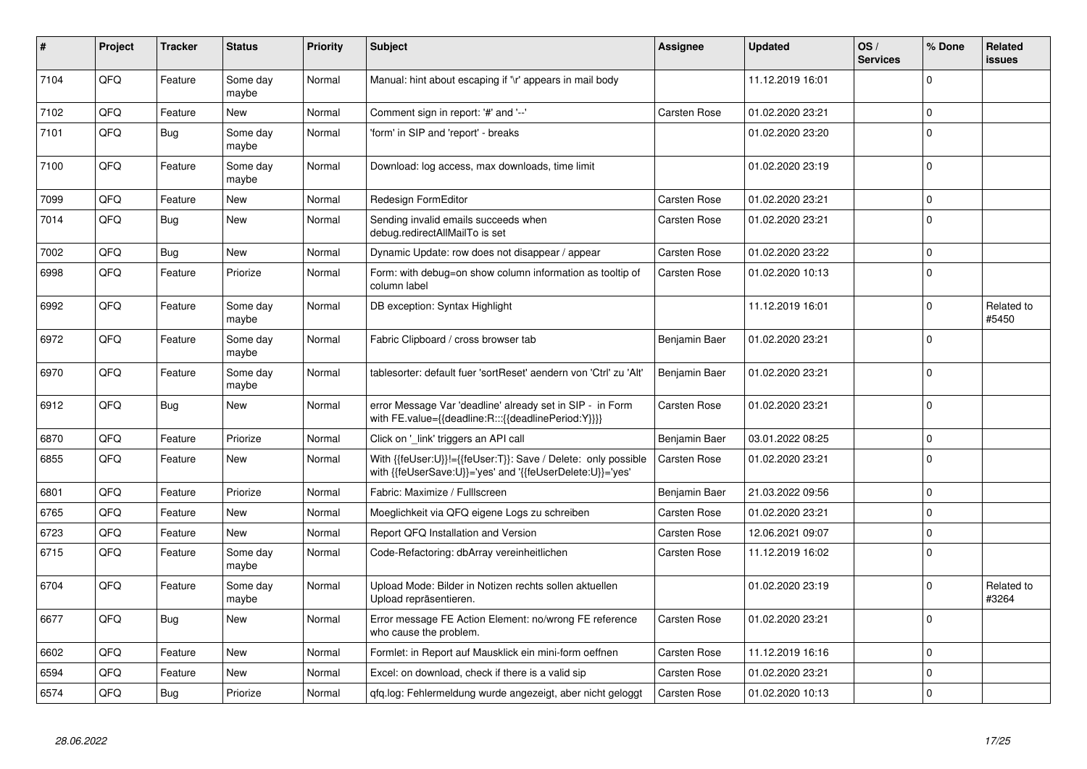| #    | Project | <b>Tracker</b> | <b>Status</b>     | <b>Priority</b> | <b>Subject</b>                                                                                                             | Assignee            | <b>Updated</b>   | OS/<br><b>Services</b> | % Done      | Related<br>issues   |
|------|---------|----------------|-------------------|-----------------|----------------------------------------------------------------------------------------------------------------------------|---------------------|------------------|------------------------|-------------|---------------------|
| 7104 | QFQ     | Feature        | Some day<br>maybe | Normal          | Manual: hint about escaping if '\r' appears in mail body                                                                   |                     | 11.12.2019 16:01 |                        | $\Omega$    |                     |
| 7102 | QFQ     | Feature        | <b>New</b>        | Normal          | Comment sign in report: '#' and '--'                                                                                       | <b>Carsten Rose</b> | 01.02.2020 23:21 |                        | $\mathbf 0$ |                     |
| 7101 | QFQ     | Bug            | Some day<br>maybe | Normal          | 'form' in SIP and 'report' - breaks                                                                                        |                     | 01.02.2020 23:20 |                        | $\Omega$    |                     |
| 7100 | QFQ     | Feature        | Some dav<br>maybe | Normal          | Download: log access, max downloads, time limit                                                                            |                     | 01.02.2020 23:19 |                        | $\Omega$    |                     |
| 7099 | QFQ     | Feature        | <b>New</b>        | Normal          | <b>Redesign FormEditor</b>                                                                                                 | Carsten Rose        | 01.02.2020 23:21 |                        | $\Omega$    |                     |
| 7014 | QFQ     | Bug            | New               | Normal          | Sending invalid emails succeeds when<br>debug.redirectAllMailTo is set                                                     | Carsten Rose        | 01.02.2020 23:21 |                        | $\Omega$    |                     |
| 7002 | QFQ     | <b>Bug</b>     | New               | Normal          | Dynamic Update: row does not disappear / appear                                                                            | Carsten Rose        | 01.02.2020 23:22 |                        | $\Omega$    |                     |
| 6998 | QFQ     | Feature        | Priorize          | Normal          | Form: with debug=on show column information as tooltip of<br>column label                                                  | Carsten Rose        | 01.02.2020 10:13 |                        | $\Omega$    |                     |
| 6992 | QFQ     | Feature        | Some dav<br>maybe | Normal          | DB exception: Syntax Highlight                                                                                             |                     | 11.12.2019 16:01 |                        | $\mathbf 0$ | Related to<br>#5450 |
| 6972 | QFQ     | Feature        | Some day<br>maybe | Normal          | Fabric Clipboard / cross browser tab                                                                                       | Benjamin Baer       | 01.02.2020 23:21 |                        | $\Omega$    |                     |
| 6970 | QFQ     | Feature        | Some day<br>maybe | Normal          | tablesorter: default fuer 'sortReset' aendern von 'Ctrl' zu 'Alt'                                                          | Benjamin Baer       | 01.02.2020 23:21 |                        | $\mathbf 0$ |                     |
| 6912 | QFQ     | <b>Bug</b>     | New               | Normal          | error Message Var 'deadline' already set in SIP - in Form<br>with FE.value={{deadline:R:::{{deadlinePeriod:Y}}}}           | Carsten Rose        | 01.02.2020 23:21 |                        | $\Omega$    |                     |
| 6870 | QFQ     | Feature        | Priorize          | Normal          | Click on '_link' triggers an API call                                                                                      | Benjamin Baer       | 03.01.2022 08:25 |                        | $\Omega$    |                     |
| 6855 | QFQ     | Feature        | <b>New</b>        | Normal          | With {{feUser:U}}!={{feUser:T}}: Save / Delete: only possible<br>with {{feUserSave:U}}='yes' and '{{feUserDelete:U}}='yes' | Carsten Rose        | 01.02.2020 23:21 |                        | $\Omega$    |                     |
| 6801 | QFQ     | Feature        | Priorize          | Normal          | Fabric: Maximize / FullIscreen                                                                                             | Benjamin Baer       | 21.03.2022 09:56 |                        | $\Omega$    |                     |
| 6765 | QFQ     | Feature        | <b>New</b>        | Normal          | Moeglichkeit via QFQ eigene Logs zu schreiben                                                                              | Carsten Rose        | 01.02.2020 23:21 |                        | $\mathbf 0$ |                     |
| 6723 | QFQ     | Feature        | New               | Normal          | Report QFQ Installation and Version                                                                                        | Carsten Rose        | 12.06.2021 09:07 |                        | $\Omega$    |                     |
| 6715 | QFQ     | Feature        | Some day<br>maybe | Normal          | Code-Refactoring: dbArray vereinheitlichen                                                                                 | Carsten Rose        | 11.12.2019 16:02 |                        | $\mathbf 0$ |                     |
| 6704 | QFQ     | Feature        | Some day<br>maybe | Normal          | Upload Mode: Bilder in Notizen rechts sollen aktuellen<br>Upload repräsentieren.                                           |                     | 01.02.2020 23:19 |                        | $\Omega$    | Related to<br>#3264 |
| 6677 | QFQ     | Bug            | <b>New</b>        | Normal          | Error message FE Action Element: no/wrong FE reference<br>who cause the problem.                                           | <b>Carsten Rose</b> | 01.02.2020 23:21 |                        | $\Omega$    |                     |
| 6602 | QFQ     | Feature        | <b>New</b>        | Normal          | Formlet: in Report auf Mausklick ein mini-form oeffnen                                                                     | Carsten Rose        | 11.12.2019 16:16 |                        | 0           |                     |
| 6594 | QFQ     | Feature        | <b>New</b>        | Normal          | Excel: on download, check if there is a valid sip                                                                          | Carsten Rose        | 01.02.2020 23:21 |                        | $\Omega$    |                     |
| 6574 | QFQ     | Bug            | Priorize          | Normal          | gfg.log: Fehlermeldung wurde angezeigt, aber nicht geloggt                                                                 | Carsten Rose        | 01.02.2020 10:13 |                        | $\Omega$    |                     |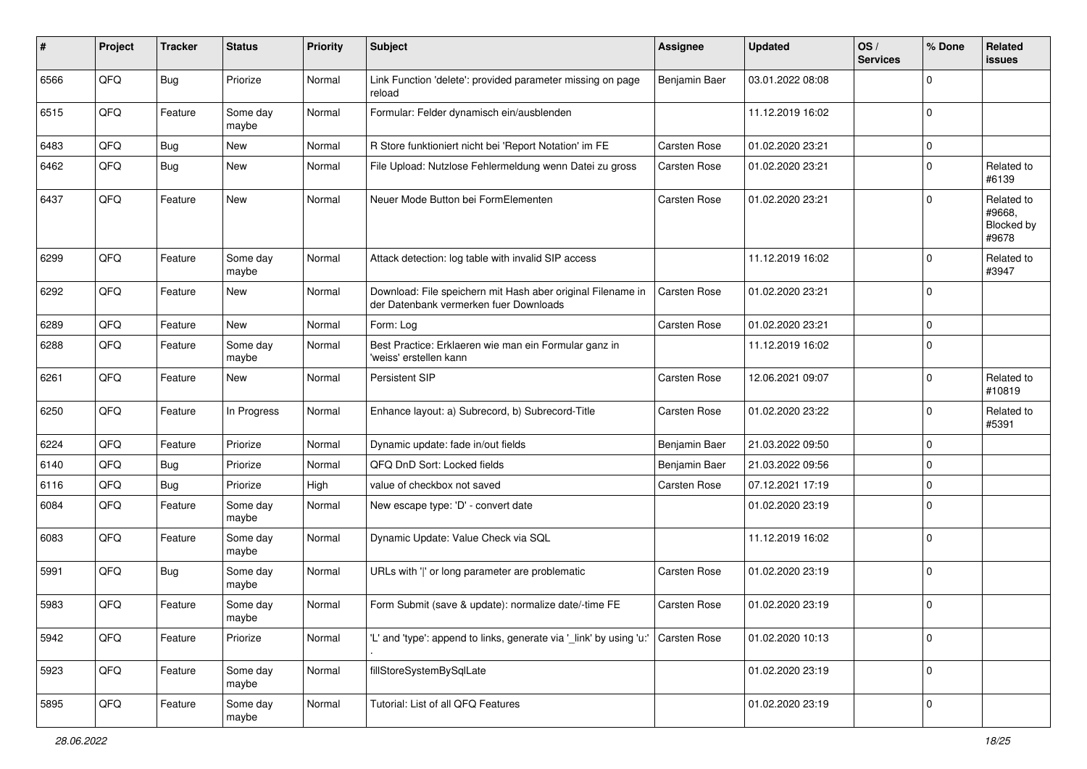| #    | Project | <b>Tracker</b> | <b>Status</b>     | <b>Priority</b> | <b>Subject</b>                                                                                        | <b>Assignee</b> | <b>Updated</b>   | OS/<br><b>Services</b> | % Done      | Related<br><b>issues</b>                    |
|------|---------|----------------|-------------------|-----------------|-------------------------------------------------------------------------------------------------------|-----------------|------------------|------------------------|-------------|---------------------------------------------|
| 6566 | QFQ     | Bug            | Priorize          | Normal          | Link Function 'delete': provided parameter missing on page<br>reload                                  | Benjamin Baer   | 03.01.2022 08:08 |                        | $\mathbf 0$ |                                             |
| 6515 | QFQ     | Feature        | Some day<br>maybe | Normal          | Formular: Felder dynamisch ein/ausblenden                                                             |                 | 11.12.2019 16:02 |                        | $\mathbf 0$ |                                             |
| 6483 | QFQ     | <b>Bug</b>     | New               | Normal          | R Store funktioniert nicht bei 'Report Notation' im FE                                                | Carsten Rose    | 01.02.2020 23:21 |                        | $\mathbf 0$ |                                             |
| 6462 | QFQ     | Bug            | New               | Normal          | File Upload: Nutzlose Fehlermeldung wenn Datei zu gross                                               | Carsten Rose    | 01.02.2020 23:21 |                        | $\pmb{0}$   | Related to<br>#6139                         |
| 6437 | QFQ     | Feature        | New               | Normal          | Neuer Mode Button bei FormElementen                                                                   | Carsten Rose    | 01.02.2020 23:21 |                        | $\mathbf 0$ | Related to<br>#9668,<br>Blocked by<br>#9678 |
| 6299 | QFQ     | Feature        | Some day<br>maybe | Normal          | Attack detection: log table with invalid SIP access                                                   |                 | 11.12.2019 16:02 |                        | $\mathbf 0$ | Related to<br>#3947                         |
| 6292 | QFQ     | Feature        | New               | Normal          | Download: File speichern mit Hash aber original Filename in<br>der Datenbank vermerken fuer Downloads | Carsten Rose    | 01.02.2020 23:21 |                        | $\mathbf 0$ |                                             |
| 6289 | QFQ     | Feature        | <b>New</b>        | Normal          | Form: Log                                                                                             | Carsten Rose    | 01.02.2020 23:21 |                        | $\mathsf 0$ |                                             |
| 6288 | QFQ     | Feature        | Some day<br>maybe | Normal          | Best Practice: Erklaeren wie man ein Formular ganz in<br>'weiss' erstellen kann                       |                 | 11.12.2019 16:02 |                        | $\mathbf 0$ |                                             |
| 6261 | QFQ     | Feature        | New               | Normal          | <b>Persistent SIP</b>                                                                                 | Carsten Rose    | 12.06.2021 09:07 |                        | $\mathbf 0$ | Related to<br>#10819                        |
| 6250 | QFQ     | Feature        | In Progress       | Normal          | Enhance layout: a) Subrecord, b) Subrecord-Title                                                      | Carsten Rose    | 01.02.2020 23:22 |                        | $\mathbf 0$ | Related to<br>#5391                         |
| 6224 | QFQ     | Feature        | Priorize          | Normal          | Dynamic update: fade in/out fields                                                                    | Benjamin Baer   | 21.03.2022 09:50 |                        | $\mathbf 0$ |                                             |
| 6140 | QFQ     | Bug            | Priorize          | Normal          | QFQ DnD Sort: Locked fields                                                                           | Benjamin Baer   | 21.03.2022 09:56 |                        | $\mathbf 0$ |                                             |
| 6116 | QFQ     | <b>Bug</b>     | Priorize          | High            | value of checkbox not saved                                                                           | Carsten Rose    | 07.12.2021 17:19 |                        | $\mathbf 0$ |                                             |
| 6084 | QFQ     | Feature        | Some day<br>maybe | Normal          | New escape type: 'D' - convert date                                                                   |                 | 01.02.2020 23:19 |                        | $\mathbf 0$ |                                             |
| 6083 | QFQ     | Feature        | Some day<br>maybe | Normal          | Dynamic Update: Value Check via SQL                                                                   |                 | 11.12.2019 16:02 |                        | $\mathbf 0$ |                                             |
| 5991 | QFQ     | Bug            | Some day<br>maybe | Normal          | URLs with ' ' or long parameter are problematic                                                       | Carsten Rose    | 01.02.2020 23:19 |                        | $\mathbf 0$ |                                             |
| 5983 | QFQ     | Feature        | Some day<br>maybe | Normal          | Form Submit (save & update): normalize date/-time FE                                                  | Carsten Rose    | 01.02.2020 23:19 |                        | $\mathbf 0$ |                                             |
| 5942 | QFQ     | Feature        | Priorize          | Normal          | "L' and 'type': append to links, generate via '_link' by using 'u:' Carsten Rose                      |                 | 01.02.2020 10:13 |                        | $\mathsf 0$ |                                             |
| 5923 | QFO     | Feature        | Some day<br>maybe | Normal          | fillStoreSystemBySqlLate                                                                              |                 | 01.02.2020 23:19 |                        | $\mathbf 0$ |                                             |
| 5895 | QFO     | Feature        | Some day<br>maybe | Normal          | Tutorial: List of all QFQ Features                                                                    |                 | 01.02.2020 23:19 |                        | $\mathsf 0$ |                                             |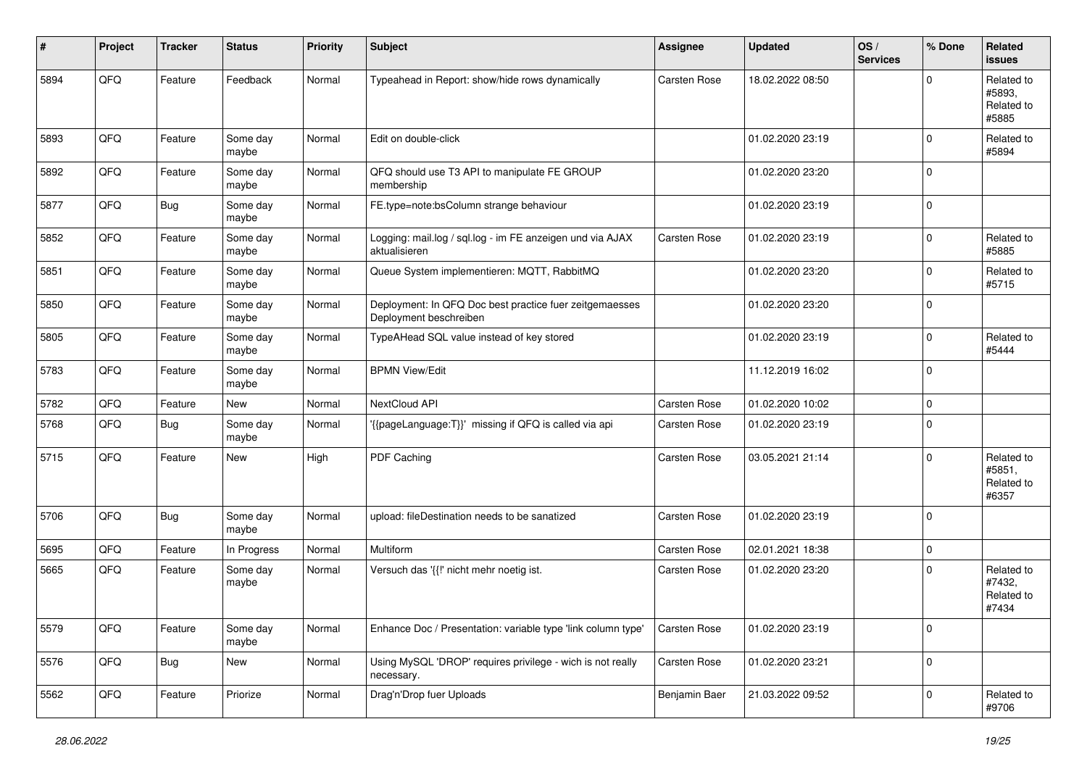| #    | Project | <b>Tracker</b> | <b>Status</b>     | <b>Priority</b> | <b>Subject</b>                                                                    | <b>Assignee</b> | <b>Updated</b>   | OS/<br><b>Services</b> | % Done      | Related<br><b>issues</b>                    |
|------|---------|----------------|-------------------|-----------------|-----------------------------------------------------------------------------------|-----------------|------------------|------------------------|-------------|---------------------------------------------|
| 5894 | QFQ     | Feature        | Feedback          | Normal          | Typeahead in Report: show/hide rows dynamically                                   | Carsten Rose    | 18.02.2022 08:50 |                        | O           | Related to<br>#5893.<br>Related to<br>#5885 |
| 5893 | QFQ     | Feature        | Some day<br>maybe | Normal          | Edit on double-click                                                              |                 | 01.02.2020 23:19 |                        | $\Omega$    | Related to<br>#5894                         |
| 5892 | QFQ     | Feature        | Some day<br>maybe | Normal          | QFQ should use T3 API to manipulate FE GROUP<br>membership                        |                 | 01.02.2020 23:20 |                        | $\Omega$    |                                             |
| 5877 | QFQ     | Bug            | Some day<br>maybe | Normal          | FE.type=note:bsColumn strange behaviour                                           |                 | 01.02.2020 23:19 |                        | $\mathbf 0$ |                                             |
| 5852 | QFQ     | Feature        | Some day<br>maybe | Normal          | Logging: mail.log / sql.log - im FE anzeigen und via AJAX<br>aktualisieren        | Carsten Rose    | 01.02.2020 23:19 |                        | $\Omega$    | Related to<br>#5885                         |
| 5851 | QFQ     | Feature        | Some day<br>maybe | Normal          | Queue System implementieren: MQTT, RabbitMQ                                       |                 | 01.02.2020 23:20 |                        | 0           | Related to<br>#5715                         |
| 5850 | QFQ     | Feature        | Some day<br>maybe | Normal          | Deployment: In QFQ Doc best practice fuer zeitgemaesses<br>Deployment beschreiben |                 | 01.02.2020 23:20 |                        | $\Omega$    |                                             |
| 5805 | QFQ     | Feature        | Some day<br>maybe | Normal          | TypeAHead SQL value instead of key stored                                         |                 | 01.02.2020 23:19 |                        | $\Omega$    | Related to<br>#5444                         |
| 5783 | QFQ     | Feature        | Some day<br>maybe | Normal          | <b>BPMN View/Edit</b>                                                             |                 | 11.12.2019 16:02 |                        | $\Omega$    |                                             |
| 5782 | QFQ     | Feature        | New               | Normal          | NextCloud API                                                                     | Carsten Rose    | 01.02.2020 10:02 |                        | $\mathbf 0$ |                                             |
| 5768 | QFQ     | Bug            | Some day<br>maybe | Normal          | '{{pageLanguage:T}}' missing if QFQ is called via api                             | Carsten Rose    | 01.02.2020 23:19 |                        | $\Omega$    |                                             |
| 5715 | QFQ     | Feature        | New               | High            | PDF Caching                                                                       | Carsten Rose    | 03.05.2021 21:14 |                        | $\Omega$    | Related to<br>#5851,<br>Related to<br>#6357 |
| 5706 | QFQ     | Bug            | Some day<br>maybe | Normal          | upload: fileDestination needs to be sanatized                                     | Carsten Rose    | 01.02.2020 23:19 |                        | l 0         |                                             |
| 5695 | QFQ     | Feature        | In Progress       | Normal          | Multiform                                                                         | Carsten Rose    | 02.01.2021 18:38 |                        | $\mathbf 0$ |                                             |
| 5665 | QFQ     | Feature        | Some day<br>maybe | Normal          | Versuch das '{{!' nicht mehr noetig ist.                                          | Carsten Rose    | 01.02.2020 23:20 |                        | $\Omega$    | Related to<br>#7432,<br>Related to<br>#7434 |
| 5579 | QFG     | Feature        | Some day<br>maybe | Normal          | Enhance Doc / Presentation: variable type 'link column type'                      | Carsten Rose    | 01.02.2020 23:19 |                        | 0           |                                             |
| 5576 | QFO     | <b>Bug</b>     | New               | Normal          | Using MySQL 'DROP' requires privilege - wich is not really<br>necessary.          | Carsten Rose    | 01.02.2020 23:21 |                        | 0           |                                             |
| 5562 | QFQ     | Feature        | Priorize          | Normal          | Drag'n'Drop fuer Uploads                                                          | Benjamin Baer   | 21.03.2022 09:52 |                        | 0           | Related to<br>#9706                         |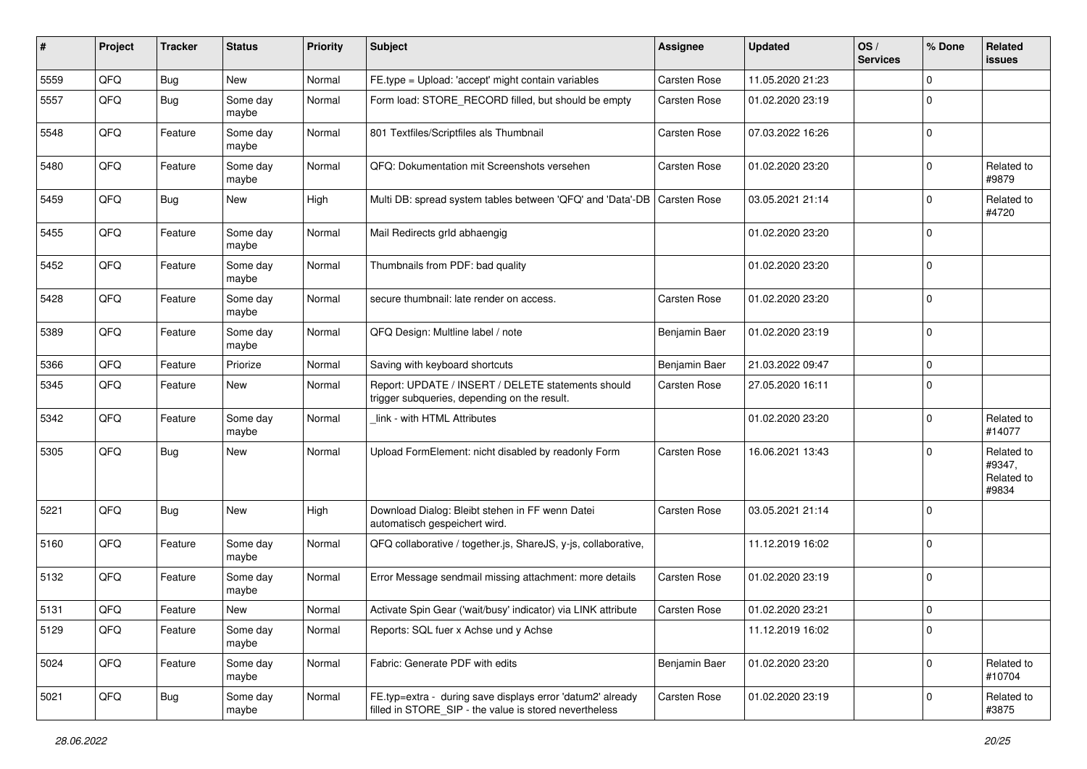| #    | Project | <b>Tracker</b> | <b>Status</b>     | <b>Priority</b> | <b>Subject</b>                                                                                                       | <b>Assignee</b>     | <b>Updated</b>   | OS/<br><b>Services</b> | % Done      | Related<br>issues                           |
|------|---------|----------------|-------------------|-----------------|----------------------------------------------------------------------------------------------------------------------|---------------------|------------------|------------------------|-------------|---------------------------------------------|
| 5559 | QFQ     | Bug            | New               | Normal          | FE.type = Upload: 'accept' might contain variables                                                                   | Carsten Rose        | 11.05.2020 21:23 |                        | $\Omega$    |                                             |
| 5557 | QFQ     | <b>Bug</b>     | Some day<br>maybe | Normal          | Form load: STORE_RECORD filled, but should be empty                                                                  | Carsten Rose        | 01.02.2020 23:19 |                        | $\Omega$    |                                             |
| 5548 | QFQ     | Feature        | Some day<br>maybe | Normal          | 801 Textfiles/Scriptfiles als Thumbnail                                                                              | Carsten Rose        | 07.03.2022 16:26 |                        | $\mathbf 0$ |                                             |
| 5480 | QFQ     | Feature        | Some day<br>maybe | Normal          | QFQ: Dokumentation mit Screenshots versehen                                                                          | Carsten Rose        | 01.02.2020 23:20 |                        | $\mathbf 0$ | Related to<br>#9879                         |
| 5459 | QFQ     | Bug            | New               | High            | Multi DB: spread system tables between 'QFQ' and 'Data'-DB                                                           | <b>Carsten Rose</b> | 03.05.2021 21:14 |                        | $\Omega$    | Related to<br>#4720                         |
| 5455 | QFQ     | Feature        | Some day<br>maybe | Normal          | Mail Redirects grld abhaengig                                                                                        |                     | 01.02.2020 23:20 |                        | $\Omega$    |                                             |
| 5452 | QFQ     | Feature        | Some day<br>maybe | Normal          | Thumbnails from PDF: bad quality                                                                                     |                     | 01.02.2020 23:20 |                        | 0           |                                             |
| 5428 | QFQ     | Feature        | Some day<br>maybe | Normal          | secure thumbnail: late render on access.                                                                             | Carsten Rose        | 01.02.2020 23:20 |                        | $\mathbf 0$ |                                             |
| 5389 | QFQ     | Feature        | Some day<br>maybe | Normal          | QFQ Design: Multline label / note                                                                                    | Benjamin Baer       | 01.02.2020 23:19 |                        | $\Omega$    |                                             |
| 5366 | QFQ     | Feature        | Priorize          | Normal          | Saving with keyboard shortcuts                                                                                       | Benjamin Baer       | 21.03.2022 09:47 |                        | $\mathbf 0$ |                                             |
| 5345 | QFQ     | Feature        | <b>New</b>        | Normal          | Report: UPDATE / INSERT / DELETE statements should<br>trigger subqueries, depending on the result.                   | Carsten Rose        | 27.05.2020 16:11 |                        | $\Omega$    |                                             |
| 5342 | QFQ     | Feature        | Some day<br>maybe | Normal          | link - with HTML Attributes                                                                                          |                     | 01.02.2020 23:20 |                        | $\mathbf 0$ | Related to<br>#14077                        |
| 5305 | QFQ     | Bug            | New               | Normal          | Upload FormElement: nicht disabled by readonly Form                                                                  | Carsten Rose        | 16.06.2021 13:43 |                        | $\Omega$    | Related to<br>#9347,<br>Related to<br>#9834 |
| 5221 | QFQ     | <b>Bug</b>     | New               | High            | Download Dialog: Bleibt stehen in FF wenn Datei<br>automatisch gespeichert wird.                                     | Carsten Rose        | 03.05.2021 21:14 |                        | $\Omega$    |                                             |
| 5160 | QFQ     | Feature        | Some day<br>maybe | Normal          | QFQ collaborative / together.js, ShareJS, y-js, collaborative,                                                       |                     | 11.12.2019 16:02 |                        | $\mathbf 0$ |                                             |
| 5132 | QFQ     | Feature        | Some day<br>maybe | Normal          | Error Message sendmail missing attachment: more details                                                              | Carsten Rose        | 01.02.2020 23:19 |                        | l 0         |                                             |
| 5131 | QFQ     | Feature        | <b>New</b>        | Normal          | Activate Spin Gear ('wait/busy' indicator) via LINK attribute                                                        | Carsten Rose        | 01.02.2020 23:21 |                        | $\Omega$    |                                             |
| 5129 | QFQ     | Feature        | Some day<br>maybe | Normal          | Reports: SQL fuer x Achse und y Achse                                                                                |                     | 11.12.2019 16:02 |                        | 0           |                                             |
| 5024 | QFQ     | Feature        | Some day<br>maybe | Normal          | Fabric: Generate PDF with edits                                                                                      | Benjamin Baer       | 01.02.2020 23:20 |                        | $\mathbf 0$ | Related to<br>#10704                        |
| 5021 | QFQ     | Bug            | Some day<br>maybe | Normal          | FE.typ=extra - during save displays error 'datum2' already<br>filled in STORE_SIP - the value is stored nevertheless | Carsten Rose        | 01.02.2020 23:19 |                        | 0           | Related to<br>#3875                         |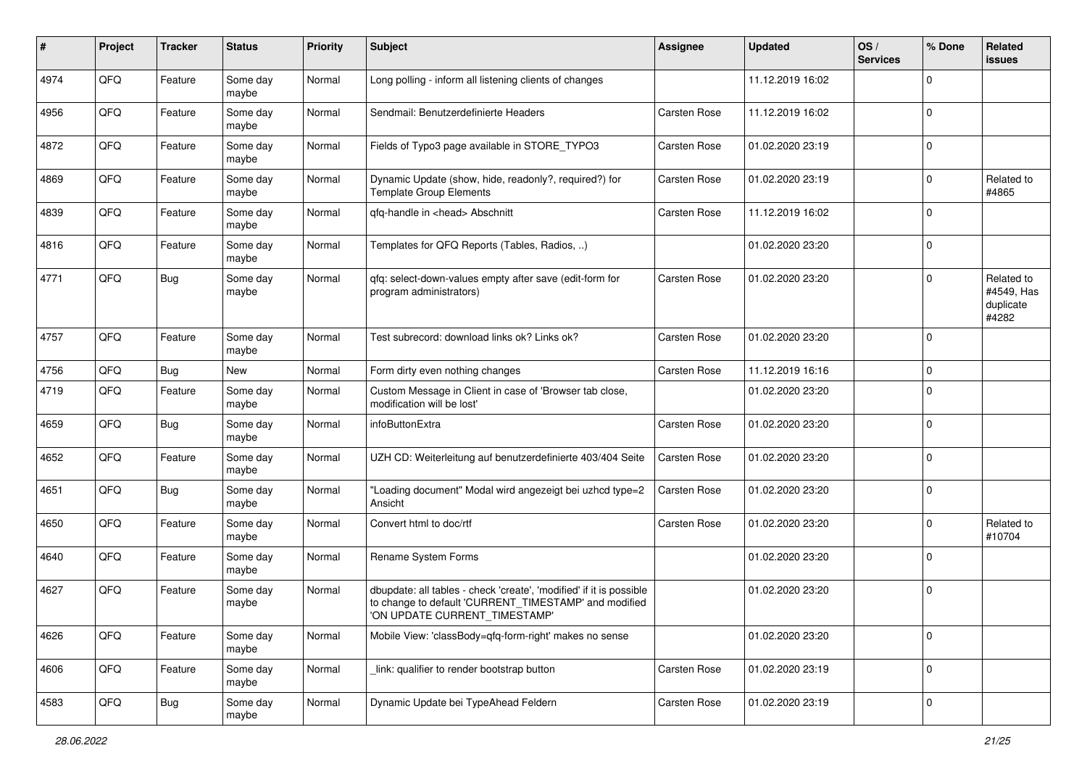| #    | Project | <b>Tracker</b> | <b>Status</b>     | <b>Priority</b> | <b>Subject</b>                                                                                                                                                | <b>Assignee</b> | <b>Updated</b>   | OS/<br><b>Services</b> | % Done      | Related<br>issues                              |
|------|---------|----------------|-------------------|-----------------|---------------------------------------------------------------------------------------------------------------------------------------------------------------|-----------------|------------------|------------------------|-------------|------------------------------------------------|
| 4974 | QFQ     | Feature        | Some day<br>maybe | Normal          | Long polling - inform all listening clients of changes                                                                                                        |                 | 11.12.2019 16:02 |                        | $\Omega$    |                                                |
| 4956 | QFQ     | Feature        | Some day<br>maybe | Normal          | Sendmail: Benutzerdefinierte Headers                                                                                                                          | Carsten Rose    | 11.12.2019 16:02 |                        | $\Omega$    |                                                |
| 4872 | QFQ     | Feature        | Some day<br>maybe | Normal          | Fields of Typo3 page available in STORE_TYPO3                                                                                                                 | Carsten Rose    | 01.02.2020 23:19 |                        | $\Omega$    |                                                |
| 4869 | QFQ     | Feature        | Some day<br>maybe | Normal          | Dynamic Update (show, hide, readonly?, required?) for<br><b>Template Group Elements</b>                                                                       | Carsten Rose    | 01.02.2020 23:19 |                        | 0           | Related to<br>#4865                            |
| 4839 | QFQ     | Feature        | Some day<br>maybe | Normal          | qfq-handle in <head> Abschnitt</head>                                                                                                                         | Carsten Rose    | 11.12.2019 16:02 |                        | $\Omega$    |                                                |
| 4816 | QFQ     | Feature        | Some day<br>maybe | Normal          | Templates for QFQ Reports (Tables, Radios, )                                                                                                                  |                 | 01.02.2020 23:20 |                        | $\Omega$    |                                                |
| 4771 | QFQ     | <b>Bug</b>     | Some day<br>maybe | Normal          | gfg: select-down-values empty after save (edit-form for<br>program administrators)                                                                            | Carsten Rose    | 01.02.2020 23:20 |                        | $\Omega$    | Related to<br>#4549, Has<br>duplicate<br>#4282 |
| 4757 | QFQ     | Feature        | Some day<br>maybe | Normal          | Test subrecord: download links ok? Links ok?                                                                                                                  | Carsten Rose    | 01.02.2020 23:20 |                        | $\Omega$    |                                                |
| 4756 | QFQ     | <b>Bug</b>     | New               | Normal          | Form dirty even nothing changes                                                                                                                               | Carsten Rose    | 11.12.2019 16:16 |                        | $\Omega$    |                                                |
| 4719 | QFQ     | Feature        | Some day<br>maybe | Normal          | Custom Message in Client in case of 'Browser tab close,<br>modification will be lost'                                                                         |                 | 01.02.2020 23:20 |                        | $\Omega$    |                                                |
| 4659 | QFQ     | Bug            | Some day<br>maybe | Normal          | infoButtonExtra                                                                                                                                               | Carsten Rose    | 01.02.2020 23:20 |                        | $\Omega$    |                                                |
| 4652 | QFQ     | Feature        | Some day<br>maybe | Normal          | UZH CD: Weiterleitung auf benutzerdefinierte 403/404 Seite                                                                                                    | Carsten Rose    | 01.02.2020 23:20 |                        | $\Omega$    |                                                |
| 4651 | QFQ     | Bug            | Some day<br>maybe | Normal          | "Loading document" Modal wird angezeigt bei uzhcd type=2<br>Ansicht                                                                                           | Carsten Rose    | 01.02.2020 23:20 |                        | $\Omega$    |                                                |
| 4650 | QFQ     | Feature        | Some day<br>maybe | Normal          | Convert html to doc/rtf                                                                                                                                       | Carsten Rose    | 01.02.2020 23:20 |                        | $\Omega$    | Related to<br>#10704                           |
| 4640 | QFQ     | Feature        | Some day<br>maybe | Normal          | Rename System Forms                                                                                                                                           |                 | 01.02.2020 23:20 |                        | $\Omega$    |                                                |
| 4627 | QFQ     | Feature        | Some day<br>maybe | Normal          | dbupdate: all tables - check 'create', 'modified' if it is possible<br>to change to default 'CURRENT_TIMESTAMP' and modified<br>'ON UPDATE CURRENT_TIMESTAMP' |                 | 01.02.2020 23:20 |                        | $\mathbf 0$ |                                                |
| 4626 | QFQ     | Feature        | Some day<br>maybe | Normal          | Mobile View: 'classBody=qfq-form-right' makes no sense                                                                                                        |                 | 01.02.2020 23:20 |                        | $\mathbf 0$ |                                                |
| 4606 | QFQ     | Feature        | Some day<br>maybe | Normal          | link: qualifier to render bootstrap button                                                                                                                    | Carsten Rose    | 01.02.2020 23:19 |                        | 0           |                                                |
| 4583 | QFQ     | Bug            | Some day<br>maybe | Normal          | Dynamic Update bei TypeAhead Feldern                                                                                                                          | Carsten Rose    | 01.02.2020 23:19 |                        | 0           |                                                |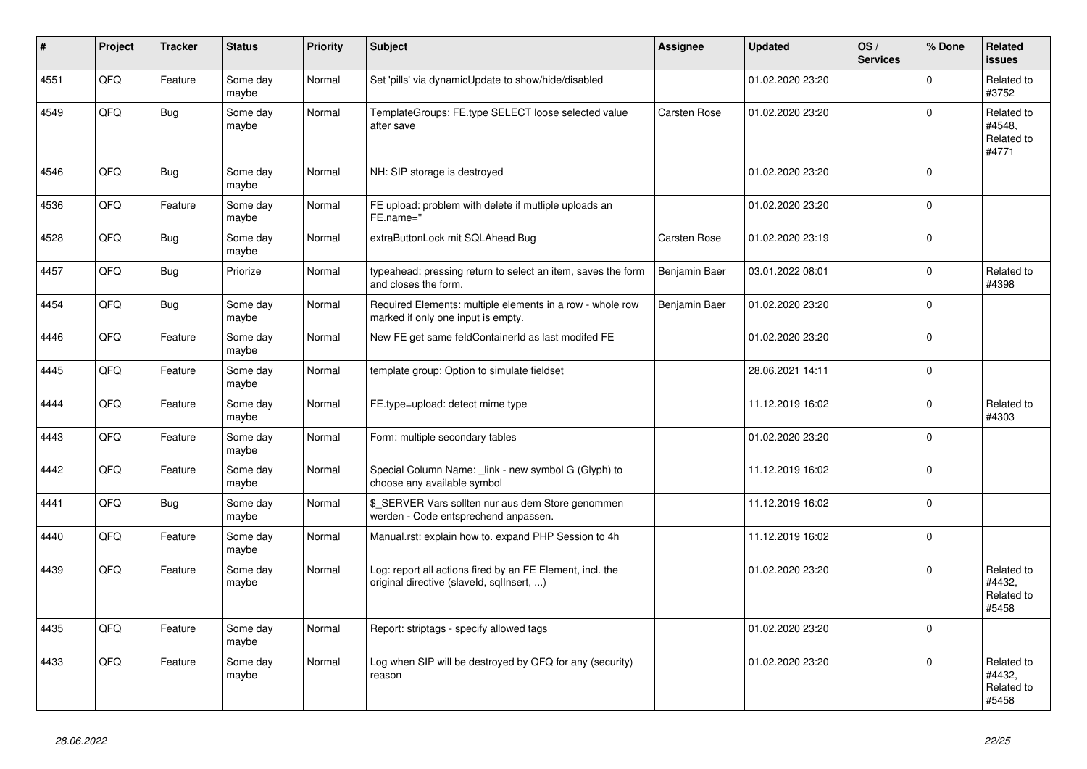| ∦    | Project | <b>Tracker</b> | <b>Status</b>     | <b>Priority</b> | <b>Subject</b>                                                                                         | <b>Assignee</b> | <b>Updated</b>   | OS/<br><b>Services</b> | % Done         | Related<br><b>issues</b>                    |
|------|---------|----------------|-------------------|-----------------|--------------------------------------------------------------------------------------------------------|-----------------|------------------|------------------------|----------------|---------------------------------------------|
| 4551 | QFQ     | Feature        | Some day<br>maybe | Normal          | Set 'pills' via dynamicUpdate to show/hide/disabled                                                    |                 | 01.02.2020 23:20 |                        | $\Omega$       | Related to<br>#3752                         |
| 4549 | QFQ     | Bug            | Some day<br>maybe | Normal          | TemplateGroups: FE.type SELECT loose selected value<br>after save                                      | Carsten Rose    | 01.02.2020 23:20 |                        | $\Omega$       | Related to<br>#4548,<br>Related to<br>#4771 |
| 4546 | QFQ     | Bug            | Some day<br>maybe | Normal          | NH: SIP storage is destroyed                                                                           |                 | 01.02.2020 23:20 |                        | $\Omega$       |                                             |
| 4536 | QFQ     | Feature        | Some day<br>maybe | Normal          | FE upload: problem with delete if mutliple uploads an<br>FE.name="                                     |                 | 01.02.2020 23:20 |                        | $\Omega$       |                                             |
| 4528 | QFQ     | Bug            | Some day<br>maybe | Normal          | extraButtonLock mit SQLAhead Bug                                                                       | Carsten Rose    | 01.02.2020 23:19 |                        | $\Omega$       |                                             |
| 4457 | QFQ     | <b>Bug</b>     | Priorize          | Normal          | typeahead: pressing return to select an item, saves the form<br>and closes the form.                   | Benjamin Baer   | 03.01.2022 08:01 |                        | $\Omega$       | Related to<br>#4398                         |
| 4454 | QFQ     | Bug            | Some day<br>maybe | Normal          | Required Elements: multiple elements in a row - whole row<br>marked if only one input is empty.        | Benjamin Baer   | 01.02.2020 23:20 |                        | $\Omega$       |                                             |
| 4446 | QFQ     | Feature        | Some day<br>maybe | Normal          | New FE get same feldContainerId as last modifed FE                                                     |                 | 01.02.2020 23:20 |                        | $\Omega$       |                                             |
| 4445 | QFQ     | Feature        | Some day<br>maybe | Normal          | template group: Option to simulate fieldset                                                            |                 | 28.06.2021 14:11 |                        | $\Omega$       |                                             |
| 4444 | QFQ     | Feature        | Some day<br>maybe | Normal          | FE.type=upload: detect mime type                                                                       |                 | 11.12.2019 16:02 |                        | $\Omega$       | Related to<br>#4303                         |
| 4443 | QFQ     | Feature        | Some day<br>maybe | Normal          | Form: multiple secondary tables                                                                        |                 | 01.02.2020 23:20 |                        | $\Omega$       |                                             |
| 4442 | QFQ     | Feature        | Some day<br>maybe | Normal          | Special Column Name: link - new symbol G (Glyph) to<br>choose any available symbol                     |                 | 11.12.2019 16:02 |                        | $\Omega$       |                                             |
| 4441 | QFQ     | <b>Bug</b>     | Some day<br>maybe | Normal          | \$_SERVER Vars sollten nur aus dem Store genommen<br>werden - Code entsprechend anpassen.              |                 | 11.12.2019 16:02 |                        | $\Omega$       |                                             |
| 4440 | QFQ     | Feature        | Some day<br>maybe | Normal          | Manual.rst: explain how to. expand PHP Session to 4h                                                   |                 | 11.12.2019 16:02 |                        | $\mathbf 0$    |                                             |
| 4439 | QFQ     | Feature        | Some day<br>maybe | Normal          | Log: report all actions fired by an FE Element, incl. the<br>original directive (slaveld, sqllnsert, ) |                 | 01.02.2020 23:20 |                        | $\Omega$       | Related to<br>#4432,<br>Related to<br>#5458 |
| 4435 | QFQ     | Feature        | Some day<br>maybe | Normal          | Report: striptags - specify allowed tags                                                               |                 | 01.02.2020 23:20 |                        | $\overline{0}$ |                                             |
| 4433 | QFQ     | Feature        | Some day<br>maybe | Normal          | Log when SIP will be destroyed by QFQ for any (security)<br>reason                                     |                 | 01.02.2020 23:20 |                        | $\Omega$       | Related to<br>#4432,<br>Related to<br>#5458 |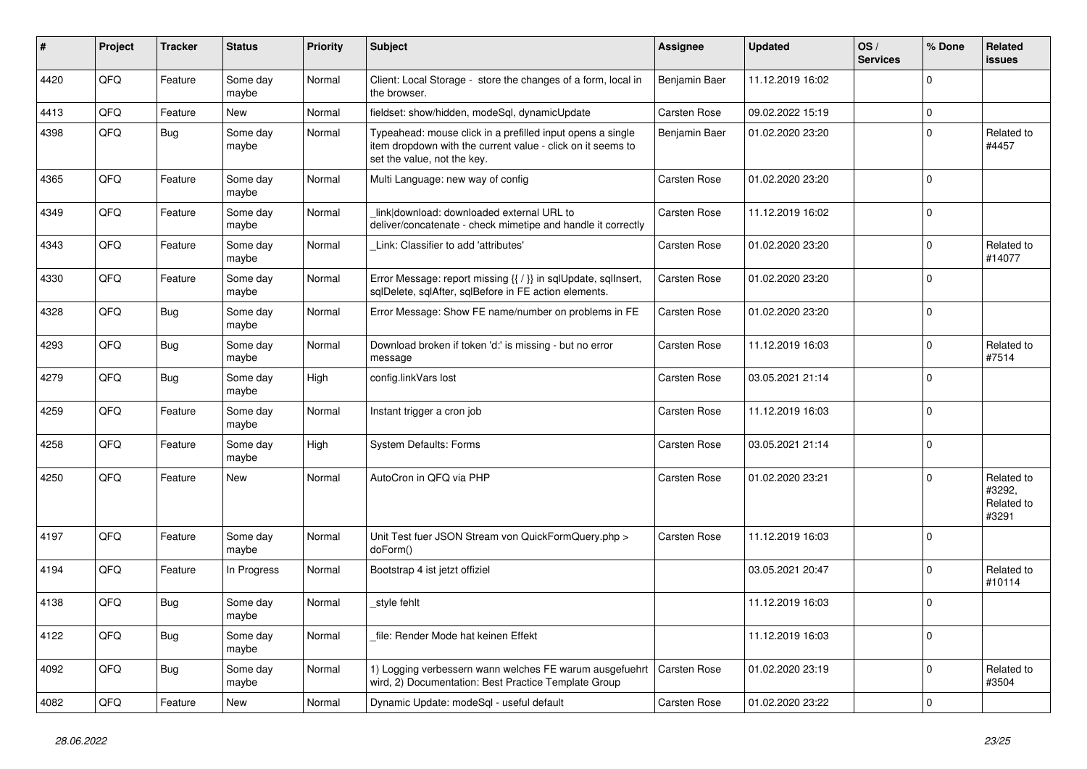| ∦    | Project | <b>Tracker</b> | <b>Status</b>     | <b>Priority</b> | <b>Subject</b>                                                                                                                                           | <b>Assignee</b>     | <b>Updated</b>   | OS/<br><b>Services</b> | % Done      | Related<br><b>issues</b>                    |
|------|---------|----------------|-------------------|-----------------|----------------------------------------------------------------------------------------------------------------------------------------------------------|---------------------|------------------|------------------------|-------------|---------------------------------------------|
| 4420 | QFQ     | Feature        | Some day<br>maybe | Normal          | Client: Local Storage - store the changes of a form, local in<br>the browser.                                                                            | Benjamin Baer       | 11.12.2019 16:02 |                        | $\Omega$    |                                             |
| 4413 | QFQ     | Feature        | <b>New</b>        | Normal          | fieldset: show/hidden, modeSql, dynamicUpdate                                                                                                            | Carsten Rose        | 09.02.2022 15:19 |                        | $\mathbf 0$ |                                             |
| 4398 | QFQ     | <b>Bug</b>     | Some day<br>maybe | Normal          | Typeahead: mouse click in a prefilled input opens a single<br>item dropdown with the current value - click on it seems to<br>set the value, not the key. | Benjamin Baer       | 01.02.2020 23:20 |                        | $\mathbf 0$ | Related to<br>#4457                         |
| 4365 | QFQ     | Feature        | Some day<br>maybe | Normal          | Multi Language: new way of config                                                                                                                        | Carsten Rose        | 01.02.2020 23:20 |                        | $\Omega$    |                                             |
| 4349 | QFQ     | Feature        | Some day<br>maybe | Normal          | link download: downloaded external URL to<br>deliver/concatenate - check mimetipe and handle it correctly                                                | Carsten Rose        | 11.12.2019 16:02 |                        | $\mathbf 0$ |                                             |
| 4343 | QFQ     | Feature        | Some day<br>maybe | Normal          | Link: Classifier to add 'attributes'                                                                                                                     | Carsten Rose        | 01.02.2020 23:20 |                        | $\Omega$    | Related to<br>#14077                        |
| 4330 | QFQ     | Feature        | Some day<br>maybe | Normal          | Error Message: report missing {{ / }} in sqlUpdate, sqlInsert,<br>sqlDelete, sqlAfter, sqlBefore in FE action elements.                                  | Carsten Rose        | 01.02.2020 23:20 |                        | $\Omega$    |                                             |
| 4328 | QFQ     | Bug            | Some day<br>maybe | Normal          | Error Message: Show FE name/number on problems in FE                                                                                                     | Carsten Rose        | 01.02.2020 23:20 |                        | $\Omega$    |                                             |
| 4293 | QFQ     | Bug            | Some day<br>maybe | Normal          | Download broken if token 'd:' is missing - but no error<br>message                                                                                       | Carsten Rose        | 11.12.2019 16:03 |                        | $\Omega$    | Related to<br>#7514                         |
| 4279 | QFQ     | Bug            | Some day<br>maybe | High            | config.linkVars lost                                                                                                                                     | Carsten Rose        | 03.05.2021 21:14 |                        | $\Omega$    |                                             |
| 4259 | QFQ     | Feature        | Some day<br>maybe | Normal          | Instant trigger a cron job                                                                                                                               | Carsten Rose        | 11.12.2019 16:03 |                        | $\mathbf 0$ |                                             |
| 4258 | QFQ     | Feature        | Some day<br>maybe | High            | <b>System Defaults: Forms</b>                                                                                                                            | Carsten Rose        | 03.05.2021 21:14 |                        | $\Omega$    |                                             |
| 4250 | QFQ     | Feature        | <b>New</b>        | Normal          | AutoCron in QFQ via PHP                                                                                                                                  | Carsten Rose        | 01.02.2020 23:21 |                        | $\Omega$    | Related to<br>#3292,<br>Related to<br>#3291 |
| 4197 | QFQ     | Feature        | Some day<br>maybe | Normal          | Unit Test fuer JSON Stream von QuickFormQuery.php ><br>doForm()                                                                                          | <b>Carsten Rose</b> | 11.12.2019 16:03 |                        | $\mathbf 0$ |                                             |
| 4194 | QFQ     | Feature        | In Progress       | Normal          | Bootstrap 4 ist jetzt offiziel                                                                                                                           |                     | 03.05.2021 20:47 |                        | $\Omega$    | Related to<br>#10114                        |
| 4138 | QFQ     | <b>Bug</b>     | Some day<br>maybe | Normal          | _style fehlt                                                                                                                                             |                     | 11.12.2019 16:03 |                        | $\Omega$    |                                             |
| 4122 | QFQ     | Bug            | Some day<br>maybe | Normal          | file: Render Mode hat keinen Effekt                                                                                                                      |                     | 11.12.2019 16:03 |                        | $\Omega$    |                                             |
| 4092 | QFQ     | <b>Bug</b>     | Some day<br>maybe | Normal          | 1) Logging verbessern wann welches FE warum ausgefuehrt<br>wird, 2) Documentation: Best Practice Template Group                                          | Carsten Rose        | 01.02.2020 23:19 |                        | $\Omega$    | Related to<br>#3504                         |
| 4082 | QFQ     | Feature        | <b>New</b>        | Normal          | Dynamic Update: modeSql - useful default                                                                                                                 | Carsten Rose        | 01.02.2020 23:22 |                        | $\Omega$    |                                             |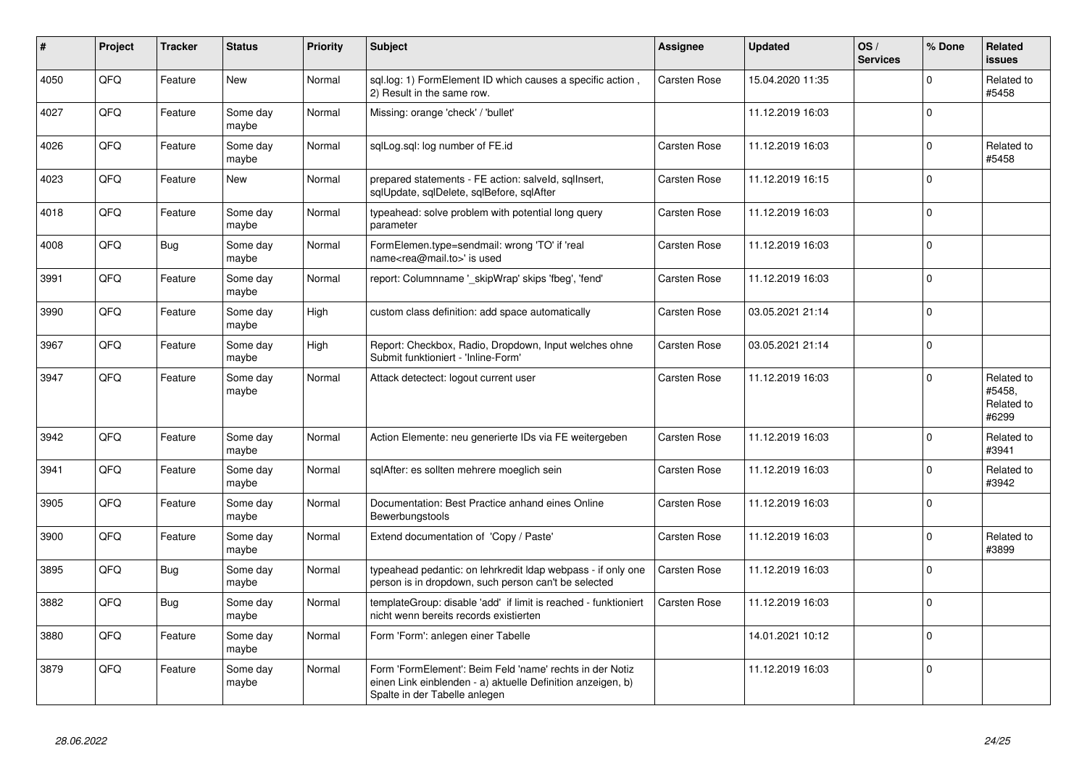| #    | Project    | <b>Tracker</b> | <b>Status</b>     | <b>Priority</b> | <b>Subject</b>                                                                                                                                           | <b>Assignee</b> | <b>Updated</b>   | OS/<br><b>Services</b> | % Done   | Related<br><b>issues</b>                    |
|------|------------|----------------|-------------------|-----------------|----------------------------------------------------------------------------------------------------------------------------------------------------------|-----------------|------------------|------------------------|----------|---------------------------------------------|
| 4050 | QFQ        | Feature        | <b>New</b>        | Normal          | sql.log: 1) FormElement ID which causes a specific action,<br>2) Result in the same row.                                                                 | Carsten Rose    | 15.04.2020 11:35 |                        | $\Omega$ | Related to<br>#5458                         |
| 4027 | QFQ        | Feature        | Some day<br>maybe | Normal          | Missing: orange 'check' / 'bullet'                                                                                                                       |                 | 11.12.2019 16:03 |                        | $\Omega$ |                                             |
| 4026 | QFQ        | Feature        | Some day<br>maybe | Normal          | sglLog.sgl: log number of FE.id                                                                                                                          | Carsten Rose    | 11.12.2019 16:03 |                        | $\Omega$ | Related to<br>#5458                         |
| 4023 | QFQ        | Feature        | New               | Normal          | prepared statements - FE action: salveld, sqllnsert,<br>sqlUpdate, sqlDelete, sqlBefore, sqlAfter                                                        | Carsten Rose    | 11.12.2019 16:15 |                        | $\Omega$ |                                             |
| 4018 | QFQ        | Feature        | Some day<br>maybe | Normal          | typeahead: solve problem with potential long query<br>parameter                                                                                          | Carsten Rose    | 11.12.2019 16:03 |                        | $\Omega$ |                                             |
| 4008 | QFQ        | <b>Bug</b>     | Some day<br>maybe | Normal          | FormElemen.type=sendmail: wrong 'TO' if 'real<br>name <rea@mail.to>' is used</rea@mail.to>                                                               | Carsten Rose    | 11.12.2019 16:03 |                        | $\Omega$ |                                             |
| 3991 | QFQ        | Feature        | Some day<br>maybe | Normal          | report: Columnname ' skipWrap' skips 'fbeg', 'fend'                                                                                                      | Carsten Rose    | 11.12.2019 16:03 |                        | $\Omega$ |                                             |
| 3990 | QFQ        | Feature        | Some day<br>maybe | High            | custom class definition: add space automatically                                                                                                         | Carsten Rose    | 03.05.2021 21:14 |                        | $\Omega$ |                                             |
| 3967 | QFQ        | Feature        | Some day<br>maybe | High            | Report: Checkbox, Radio, Dropdown, Input welches ohne<br>Submit funktioniert - 'Inline-Form'                                                             | Carsten Rose    | 03.05.2021 21:14 |                        | $\Omega$ |                                             |
| 3947 | QFQ        | Feature        | Some day<br>maybe | Normal          | Attack detectect: logout current user                                                                                                                    | Carsten Rose    | 11.12.2019 16:03 |                        | $\Omega$ | Related to<br>#5458.<br>Related to<br>#6299 |
| 3942 | QFQ        | Feature        | Some day<br>maybe | Normal          | Action Elemente: neu generierte IDs via FE weitergeben                                                                                                   | Carsten Rose    | 11.12.2019 16:03 |                        | $\Omega$ | Related to<br>#3941                         |
| 3941 | QFQ        | Feature        | Some day<br>maybe | Normal          | sqlAfter: es sollten mehrere moeglich sein                                                                                                               | Carsten Rose    | 11.12.2019 16:03 |                        | $\Omega$ | Related to<br>#3942                         |
| 3905 | QFQ        | Feature        | Some day<br>maybe | Normal          | Documentation: Best Practice anhand eines Online<br>Bewerbungstools                                                                                      | Carsten Rose    | 11.12.2019 16:03 |                        | $\Omega$ |                                             |
| 3900 | <b>OFO</b> | Feature        | Some day<br>maybe | Normal          | Extend documentation of 'Copy / Paste'                                                                                                                   | Carsten Rose    | 11.12.2019 16:03 |                        | $\Omega$ | Related to<br>#3899                         |
| 3895 | QFQ        | Bug            | Some day<br>maybe | Normal          | typeahead pedantic: on lehrkredit Idap webpass - if only one<br>person is in dropdown, such person can't be selected                                     | Carsten Rose    | 11.12.2019 16:03 |                        | $\Omega$ |                                             |
| 3882 | QFQ        | <b>Bug</b>     | Some day<br>maybe | Normal          | templateGroup: disable 'add' if limit is reached - funktioniert<br>nicht wenn bereits records existierten                                                | Carsten Rose    | 11.12.2019 16:03 |                        | $\Omega$ |                                             |
| 3880 | QFQ        | Feature        | Some day<br>maybe | Normal          | Form 'Form': anlegen einer Tabelle                                                                                                                       |                 | 14.01.2021 10:12 |                        | $\Omega$ |                                             |
| 3879 | QFQ        | Feature        | Some day<br>maybe | Normal          | Form 'FormElement': Beim Feld 'name' rechts in der Notiz<br>einen Link einblenden - a) aktuelle Definition anzeigen, b)<br>Spalte in der Tabelle anlegen |                 | 11.12.2019 16:03 |                        | $\Omega$ |                                             |